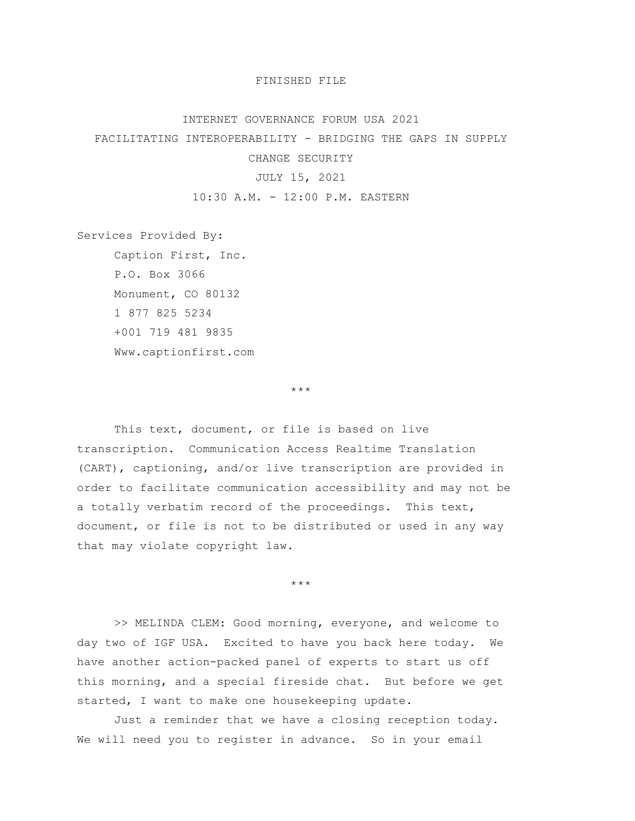## FINISHED FILE

## INTERNET GOVERNANCE FORUM USA 2021

FACILITATING INTEROPERABILITY - BRIDGING THE GAPS IN SUPPLY

CHANGE SECURITY

## JULY 15, 2021

10:30 A.M. - 12:00 P.M. EASTERN

Services Provided By:

Caption First, Inc. P.O. Box 3066 Monument, CO 80132 1 877 825 5234 +001 719 481 9835 Www.captionfirst.com

\*\*\*

This text, document, or file is based on live transcription. Communication Access Realtime Translation (CART), captioning, and/or live transcription are provided in order to facilitate communication accessibility and may not be a totally verbatim record of the proceedings. This text, document, or file is not to be distributed or used in any way that may violate copyright law.

\*\*\*

>> MELINDA CLEM: Good morning, everyone, and welcome to day two of IGF USA. Excited to have you back here today. We have another action-packed panel of experts to start us off this morning, and a special fireside chat. But before we get started, I want to make one housekeeping update.

Just a reminder that we have a closing reception today. We will need you to register in advance. So in your email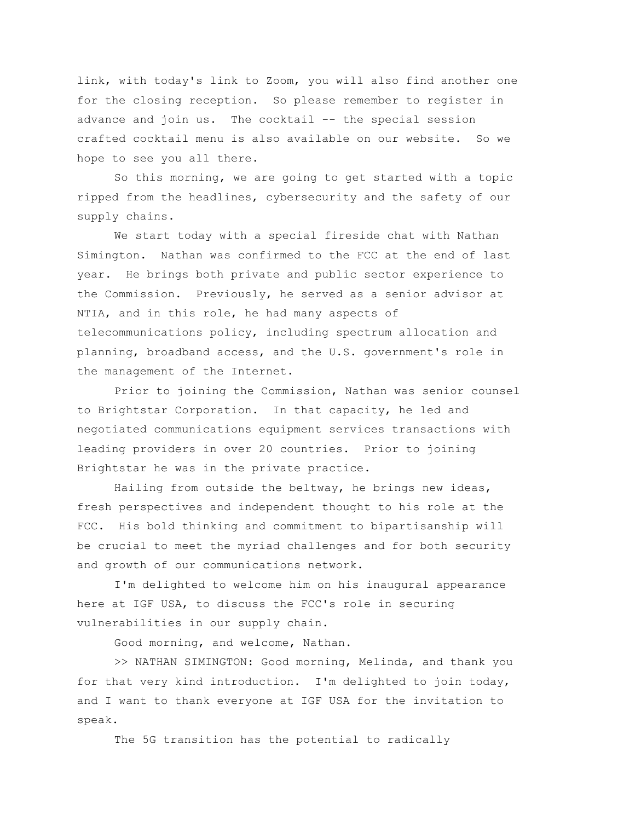link, with today's link to Zoom, you will also find another one for the closing reception. So please remember to register in advance and join us. The cocktail -- the special session crafted cocktail menu is also available on our website. So we hope to see you all there.

So this morning, we are going to get started with a topic ripped from the headlines, cybersecurity and the safety of our supply chains.

We start today with a special fireside chat with Nathan Simington. Nathan was confirmed to the FCC at the end of last year. He brings both private and public sector experience to the Commission. Previously, he served as a senior advisor at NTIA, and in this role, he had many aspects of telecommunications policy, including spectrum allocation and planning, broadband access, and the U.S. government's role in the management of the Internet.

Prior to joining the Commission, Nathan was senior counsel to Brightstar Corporation. In that capacity, he led and negotiated communications equipment services transactions with leading providers in over 20 countries. Prior to joining Brightstar he was in the private practice.

Hailing from outside the beltway, he brings new ideas, fresh perspectives and independent thought to his role at the FCC. His bold thinking and commitment to bipartisanship will be crucial to meet the myriad challenges and for both security and growth of our communications network.

I'm delighted to welcome him on his inaugural appearance here at IGF USA, to discuss the FCC's role in securing vulnerabilities in our supply chain.

Good morning, and welcome, Nathan.

>> NATHAN SIMINGTON: Good morning, Melinda, and thank you for that very kind introduction. I'm delighted to join today, and I want to thank everyone at IGF USA for the invitation to speak.

The 5G transition has the potential to radically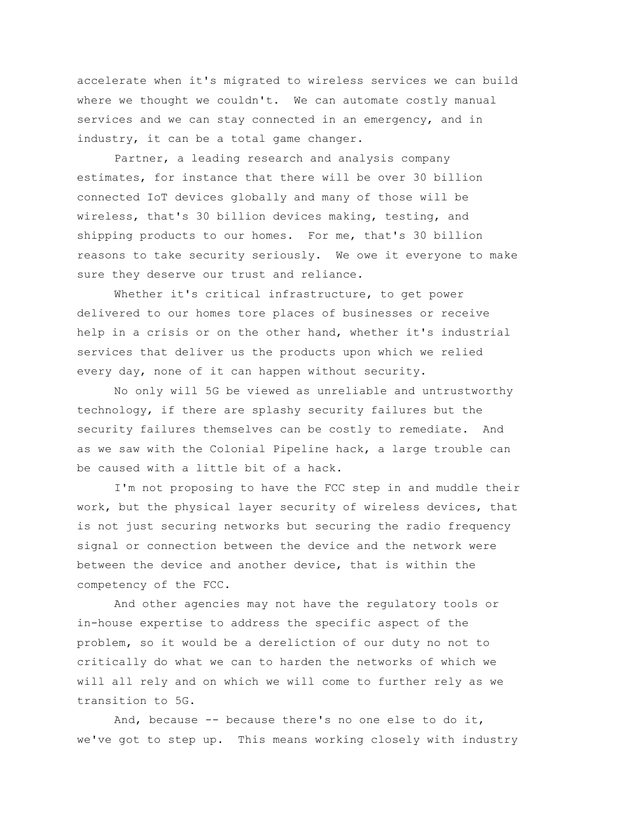accelerate when it's migrated to wireless services we can build where we thought we couldn't. We can automate costly manual services and we can stay connected in an emergency, and in industry, it can be a total game changer.

Partner, a leading research and analysis company estimates, for instance that there will be over 30 billion connected IoT devices globally and many of those will be wireless, that's 30 billion devices making, testing, and shipping products to our homes. For me, that's 30 billion reasons to take security seriously. We owe it everyone to make sure they deserve our trust and reliance.

Whether it's critical infrastructure, to get power delivered to our homes tore places of businesses or receive help in a crisis or on the other hand, whether it's industrial services that deliver us the products upon which we relied every day, none of it can happen without security.

No only will 5G be viewed as unreliable and untrustworthy technology, if there are splashy security failures but the security failures themselves can be costly to remediate. And as we saw with the Colonial Pipeline hack, a large trouble can be caused with a little bit of a hack.

I'm not proposing to have the FCC step in and muddle their work, but the physical layer security of wireless devices, that is not just securing networks but securing the radio frequency signal or connection between the device and the network were between the device and another device, that is within the competency of the FCC.

And other agencies may not have the regulatory tools or in-house expertise to address the specific aspect of the problem, so it would be a dereliction of our duty no not to critically do what we can to harden the networks of which we will all rely and on which we will come to further rely as we transition to 5G.

And, because -- because there's no one else to do it, we've got to step up. This means working closely with industry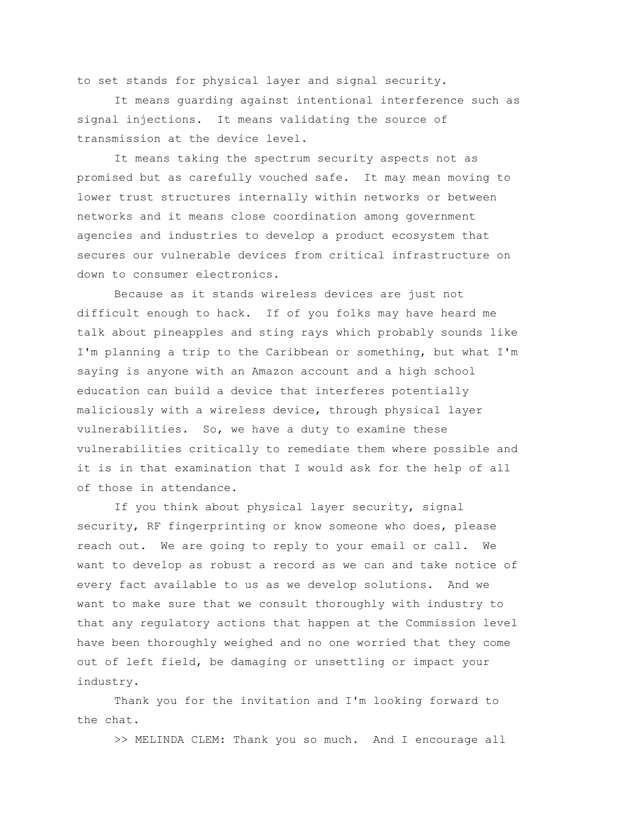to set stands for physical layer and signal security.

It means guarding against intentional interference such as signal injections. It means validating the source of transmission at the device level.

It means taking the spectrum security aspects not as promised but as carefully vouched safe. It may mean moving to lower trust structures internally within networks or between networks and it means close coordination among government agencies and industries to develop a product ecosystem that secures our vulnerable devices from critical infrastructure on down to consumer electronics.

Because as it stands wireless devices are just not difficult enough to hack. If of you folks may have heard me talk about pineapples and sting rays which probably sounds like I'm planning a trip to the Caribbean or something, but what I'm saying is anyone with an Amazon account and a high school education can build a device that interferes potentially maliciously with a wireless device, through physical layer vulnerabilities. So, we have a duty to examine these vulnerabilities critically to remediate them where possible and it is in that examination that I would ask for the help of all of those in attendance.

If you think about physical layer security, signal security, RF fingerprinting or know someone who does, please reach out. We are going to reply to your email or call. We want to develop as robust a record as we can and take notice of every fact available to us as we develop solutions. And we want to make sure that we consult thoroughly with industry to that any regulatory actions that happen at the Commission level have been thoroughly weighed and no one worried that they come out of left field, be damaging or unsettling or impact your industry.

Thank you for the invitation and I'm looking forward to the chat.

>> MELINDA CLEM: Thank you so much. And I encourage all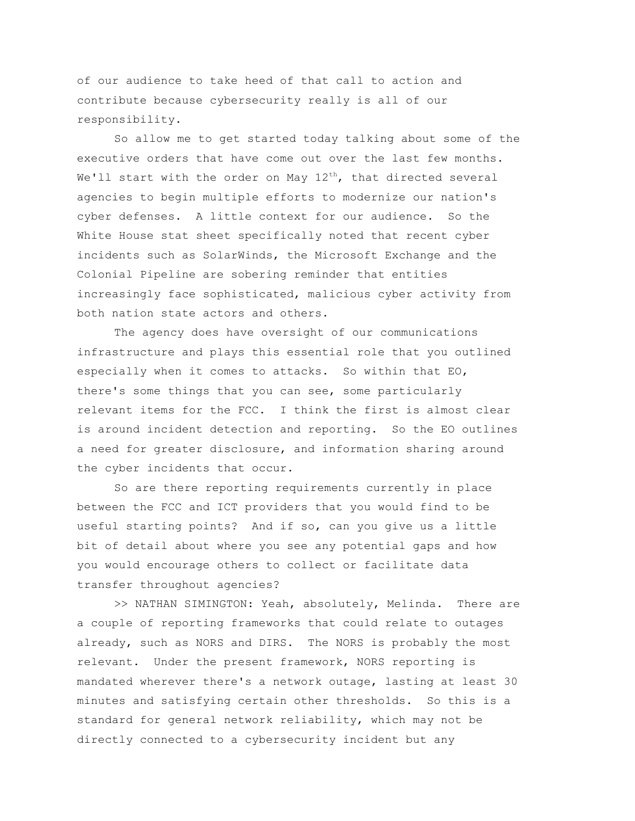of our audience to take heed of that call to action and contribute because cybersecurity really is all of our responsibility.

So allow me to get started today talking about some of the executive orders that have come out over the last few months. We'll start with the order on May  $12^{\text{th}}$ , that directed several agencies to begin multiple efforts to modernize our nation's cyber defenses. A little context for our audience. So the White House stat sheet specifically noted that recent cyber incidents such as SolarWinds, the Microsoft Exchange and the Colonial Pipeline are sobering reminder that entities increasingly face sophisticated, malicious cyber activity from both nation state actors and others.

The agency does have oversight of our communications infrastructure and plays this essential role that you outlined especially when it comes to attacks. So within that EO, there's some things that you can see, some particularly relevant items for the FCC. I think the first is almost clear is around incident detection and reporting. So the EO outlines a need for greater disclosure, and information sharing around the cyber incidents that occur.

So are there reporting requirements currently in place between the FCC and ICT providers that you would find to be useful starting points? And if so, can you give us a little bit of detail about where you see any potential gaps and how you would encourage others to collect or facilitate data transfer throughout agencies?

>> NATHAN SIMINGTON: Yeah, absolutely, Melinda. There are a couple of reporting frameworks that could relate to outages already, such as NORS and DIRS. The NORS is probably the most relevant. Under the present framework, NORS reporting is mandated wherever there's a network outage, lasting at least 30 minutes and satisfying certain other thresholds. So this is a standard for general network reliability, which may not be directly connected to a cybersecurity incident but any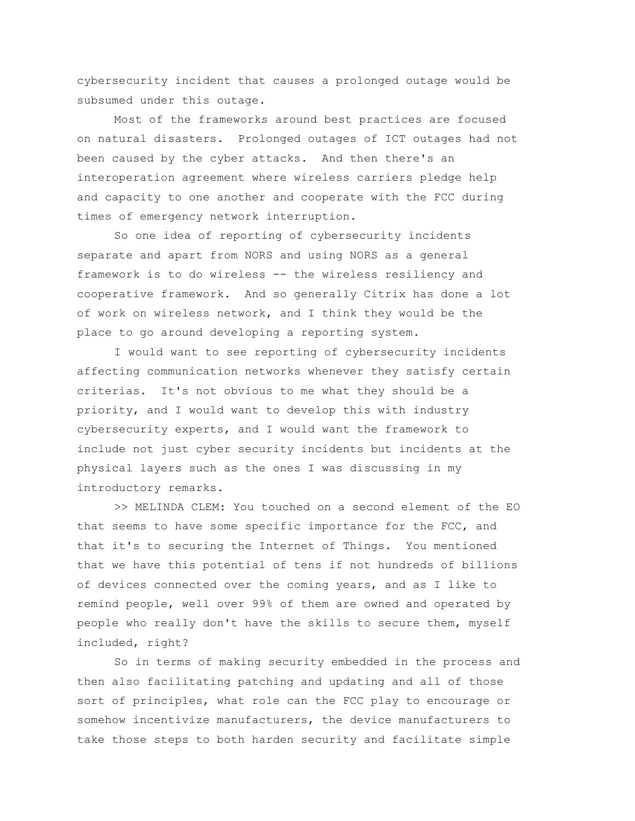cybersecurity incident that causes a prolonged outage would be subsumed under this outage.

Most of the frameworks around best practices are focused on natural disasters. Prolonged outages of ICT outages had not been caused by the cyber attacks. And then there's an interoperation agreement where wireless carriers pledge help and capacity to one another and cooperate with the FCC during times of emergency network interruption.

So one idea of reporting of cybersecurity incidents separate and apart from NORS and using NORS as a general framework is to do wireless -- the wireless resiliency and cooperative framework. And so generally Citrix has done a lot of work on wireless network, and I think they would be the place to go around developing a reporting system.

I would want to see reporting of cybersecurity incidents affecting communication networks whenever they satisfy certain criterias. It's not obvious to me what they should be a priority, and I would want to develop this with industry cybersecurity experts, and I would want the framework to include not just cyber security incidents but incidents at the physical layers such as the ones I was discussing in my introductory remarks.

>> MELINDA CLEM: You touched on a second element of the EO that seems to have some specific importance for the FCC, and that it's to securing the Internet of Things. You mentioned that we have this potential of tens if not hundreds of billions of devices connected over the coming years, and as I like to remind people, well over 99% of them are owned and operated by people who really don't have the skills to secure them, myself included, right?

So in terms of making security embedded in the process and then also facilitating patching and updating and all of those sort of principles, what role can the FCC play to encourage or somehow incentivize manufacturers, the device manufacturers to take those steps to both harden security and facilitate simple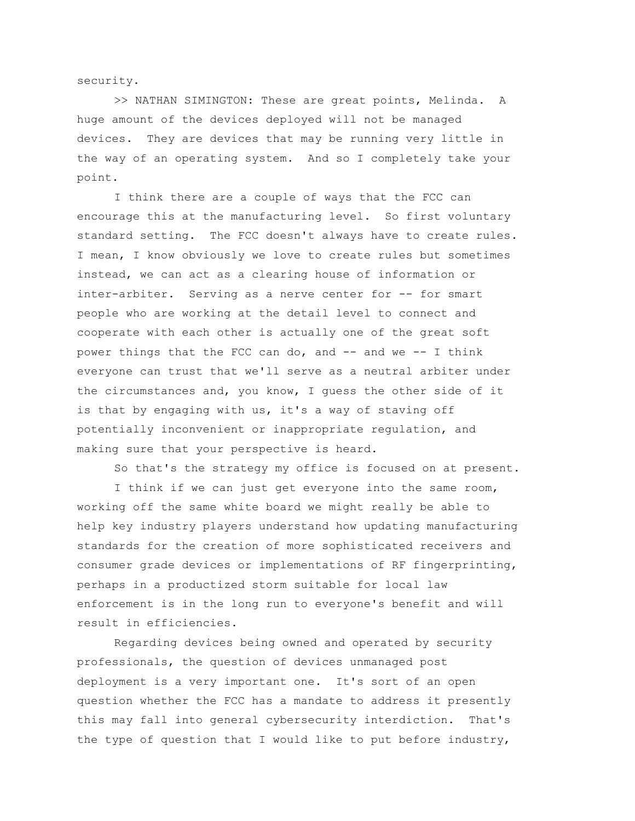security.

>> NATHAN SIMINGTON: These are great points, Melinda. A huge amount of the devices deployed will not be managed devices. They are devices that may be running very little in the way of an operating system. And so I completely take your point.

I think there are a couple of ways that the FCC can encourage this at the manufacturing level. So first voluntary standard setting. The FCC doesn't always have to create rules. I mean, I know obviously we love to create rules but sometimes instead, we can act as a clearing house of information or inter-arbiter. Serving as a nerve center for -- for smart people who are working at the detail level to connect and cooperate with each other is actually one of the great soft power things that the FCC can do, and  $--$  and we  $--$  I think everyone can trust that we'll serve as a neutral arbiter under the circumstances and, you know, I guess the other side of it is that by engaging with us, it's a way of staving off potentially inconvenient or inappropriate regulation, and making sure that your perspective is heard.

So that's the strategy my office is focused on at present.

I think if we can just get everyone into the same room, working off the same white board we might really be able to help key industry players understand how updating manufacturing standards for the creation of more sophisticated receivers and consumer grade devices or implementations of RF fingerprinting, perhaps in a productized storm suitable for local law enforcement is in the long run to everyone's benefit and will result in efficiencies.

Regarding devices being owned and operated by security professionals, the question of devices unmanaged post deployment is a very important one. It's sort of an open question whether the FCC has a mandate to address it presently this may fall into general cybersecurity interdiction. That's the type of question that I would like to put before industry,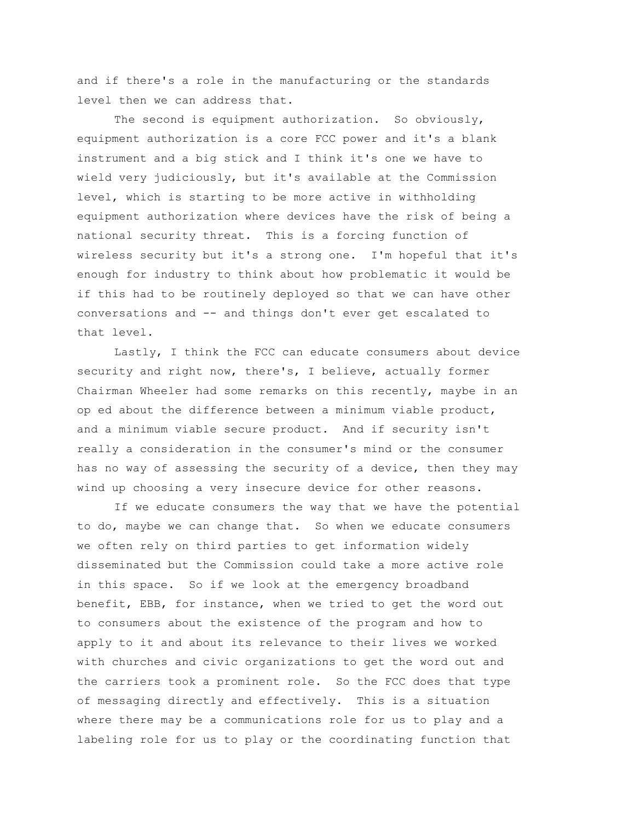and if there's a role in the manufacturing or the standards level then we can address that.

The second is equipment authorization. So obviously, equipment authorization is a core FCC power and it's a blank instrument and a big stick and I think it's one we have to wield very judiciously, but it's available at the Commission level, which is starting to be more active in withholding equipment authorization where devices have the risk of being a national security threat. This is a forcing function of wireless security but it's a strong one. I'm hopeful that it's enough for industry to think about how problematic it would be if this had to be routinely deployed so that we can have other conversations and -- and things don't ever get escalated to that level.

Lastly, I think the FCC can educate consumers about device security and right now, there's, I believe, actually former Chairman Wheeler had some remarks on this recently, maybe in an op ed about the difference between a minimum viable product, and a minimum viable secure product. And if security isn't really a consideration in the consumer's mind or the consumer has no way of assessing the security of a device, then they may wind up choosing a very insecure device for other reasons.

If we educate consumers the way that we have the potential to do, maybe we can change that. So when we educate consumers we often rely on third parties to get information widely disseminated but the Commission could take a more active role in this space. So if we look at the emergency broadband benefit, EBB, for instance, when we tried to get the word out to consumers about the existence of the program and how to apply to it and about its relevance to their lives we worked with churches and civic organizations to get the word out and the carriers took a prominent role. So the FCC does that type of messaging directly and effectively. This is a situation where there may be a communications role for us to play and a labeling role for us to play or the coordinating function that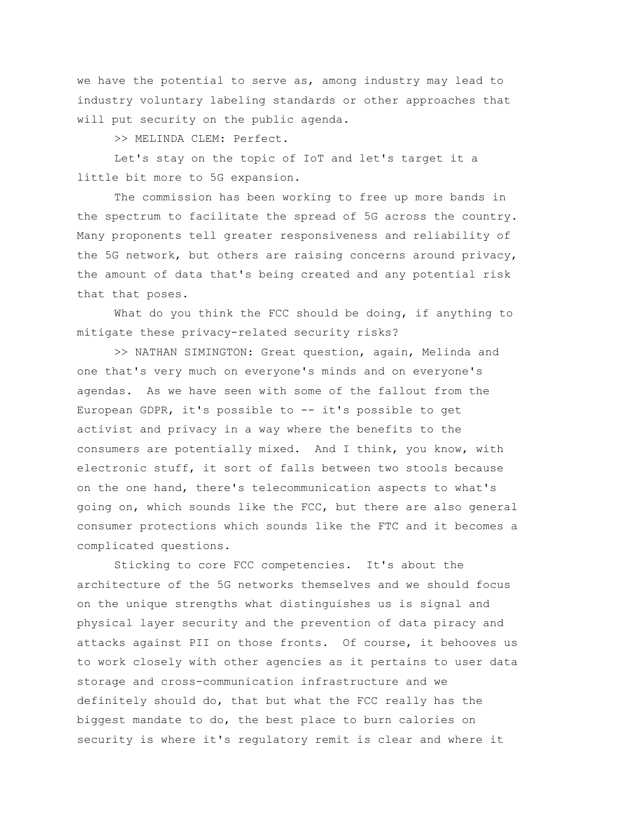we have the potential to serve as, among industry may lead to industry voluntary labeling standards or other approaches that will put security on the public agenda.

>> MELINDA CLEM: Perfect.

Let's stay on the topic of IoT and let's target it a little bit more to 5G expansion.

The commission has been working to free up more bands in the spectrum to facilitate the spread of 5G across the country. Many proponents tell greater responsiveness and reliability of the 5G network, but others are raising concerns around privacy, the amount of data that's being created and any potential risk that that poses.

What do you think the FCC should be doing, if anything to mitigate these privacy-related security risks?

>> NATHAN SIMINGTON: Great question, again, Melinda and one that's very much on everyone's minds and on everyone's agendas. As we have seen with some of the fallout from the European GDPR, it's possible to -- it's possible to get activist and privacy in a way where the benefits to the consumers are potentially mixed. And I think, you know, with electronic stuff, it sort of falls between two stools because on the one hand, there's telecommunication aspects to what's going on, which sounds like the FCC, but there are also general consumer protections which sounds like the FTC and it becomes a complicated questions.

Sticking to core FCC competencies. It's about the architecture of the 5G networks themselves and we should focus on the unique strengths what distinguishes us is signal and physical layer security and the prevention of data piracy and attacks against PII on those fronts. Of course, it behooves us to work closely with other agencies as it pertains to user data storage and cross-communication infrastructure and we definitely should do, that but what the FCC really has the biggest mandate to do, the best place to burn calories on security is where it's regulatory remit is clear and where it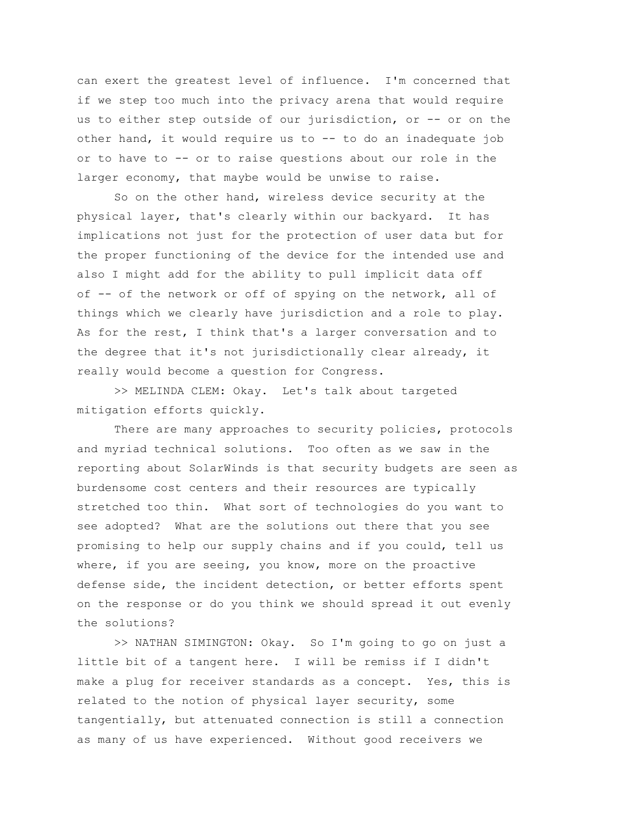can exert the greatest level of influence. I'm concerned that if we step too much into the privacy arena that would require us to either step outside of our jurisdiction, or -- or on the other hand, it would require us to -- to do an inadequate job or to have to -- or to raise questions about our role in the larger economy, that maybe would be unwise to raise.

So on the other hand, wireless device security at the physical layer, that's clearly within our backyard. It has implications not just for the protection of user data but for the proper functioning of the device for the intended use and also I might add for the ability to pull implicit data off of -- of the network or off of spying on the network, all of things which we clearly have jurisdiction and a role to play. As for the rest, I think that's a larger conversation and to the degree that it's not jurisdictionally clear already, it really would become a question for Congress.

>> MELINDA CLEM: Okay. Let's talk about targeted mitigation efforts quickly.

There are many approaches to security policies, protocols and myriad technical solutions. Too often as we saw in the reporting about SolarWinds is that security budgets are seen as burdensome cost centers and their resources are typically stretched too thin. What sort of technologies do you want to see adopted? What are the solutions out there that you see promising to help our supply chains and if you could, tell us where, if you are seeing, you know, more on the proactive defense side, the incident detection, or better efforts spent on the response or do you think we should spread it out evenly the solutions?

>> NATHAN SIMINGTON: Okay. So I'm going to go on just a little bit of a tangent here. I will be remiss if I didn't make a plug for receiver standards as a concept. Yes, this is related to the notion of physical layer security, some tangentially, but attenuated connection is still a connection as many of us have experienced. Without good receivers we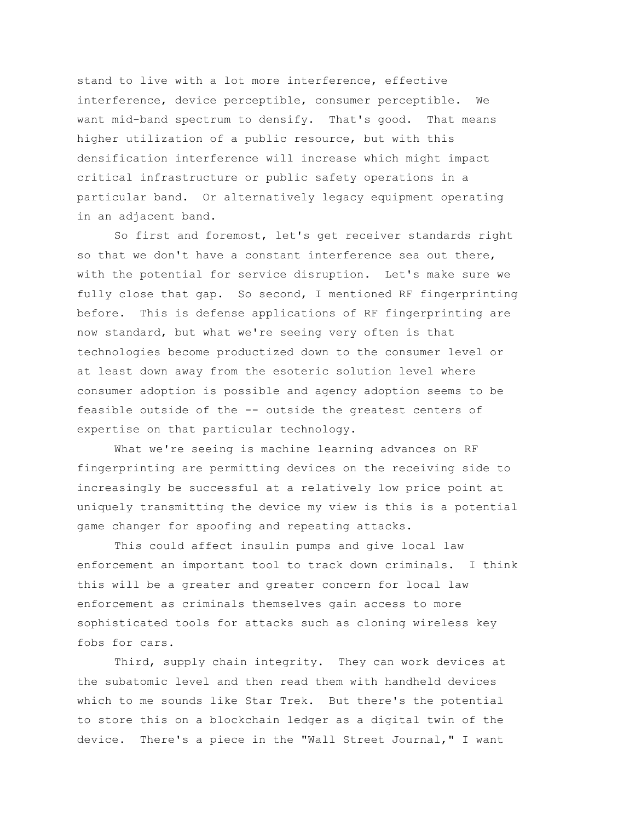stand to live with a lot more interference, effective interference, device perceptible, consumer perceptible. We want mid-band spectrum to densify. That's good. That means higher utilization of a public resource, but with this densification interference will increase which might impact critical infrastructure or public safety operations in a particular band. Or alternatively legacy equipment operating in an adjacent band.

So first and foremost, let's get receiver standards right so that we don't have a constant interference sea out there, with the potential for service disruption. Let's make sure we fully close that gap. So second, I mentioned RF fingerprinting before. This is defense applications of RF fingerprinting are now standard, but what we're seeing very often is that technologies become productized down to the consumer level or at least down away from the esoteric solution level where consumer adoption is possible and agency adoption seems to be feasible outside of the -- outside the greatest centers of expertise on that particular technology.

What we're seeing is machine learning advances on RF fingerprinting are permitting devices on the receiving side to increasingly be successful at a relatively low price point at uniquely transmitting the device my view is this is a potential game changer for spoofing and repeating attacks.

This could affect insulin pumps and give local law enforcement an important tool to track down criminals. I think this will be a greater and greater concern for local law enforcement as criminals themselves gain access to more sophisticated tools for attacks such as cloning wireless key fobs for cars.

Third, supply chain integrity. They can work devices at the subatomic level and then read them with handheld devices which to me sounds like Star Trek. But there's the potential to store this on a blockchain ledger as a digital twin of the device. There's a piece in the "Wall Street Journal," I want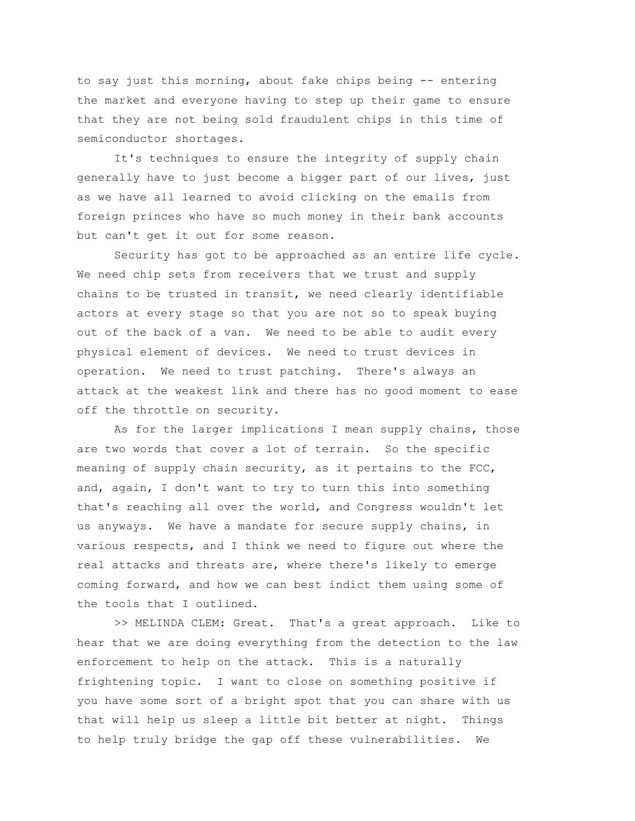to say just this morning, about fake chips being -- entering the market and everyone having to step up their game to ensure that they are not being sold fraudulent chips in this time of semiconductor shortages.

It's techniques to ensure the integrity of supply chain generally have to just become a bigger part of our lives, just as we have all learned to avoid clicking on the emails from foreign princes who have so much money in their bank accounts but can't get it out for some reason.

Security has got to be approached as an entire life cycle. We need chip sets from receivers that we trust and supply chains to be trusted in transit, we need clearly identifiable actors at every stage so that you are not so to speak buying out of the back of a van. We need to be able to audit every physical element of devices. We need to trust devices in operation. We need to trust patching. There's always an attack at the weakest link and there has no good moment to ease off the throttle on security.

As for the larger implications I mean supply chains, those are two words that cover a lot of terrain. So the specific meaning of supply chain security, as it pertains to the  $FCC$ , and, again, I don't want to try to turn this into something that's reaching all over the world, and Congress wouldn't let us anyways. We have a mandate for secure supply chains, in various respects, and I think we need to figure out where the real attacks and threats are, where there's likely to emerge coming forward, and how we can best indict them using some of the tools that I outlined.

>> MELINDA CLEM: Great. That's a great approach. Like to hear that we are doing everything from the detection to the law enforcement to help on the attack. This is a naturally frightening topic. I want to close on something positive if you have some sort of a bright spot that you can share with us that will help us sleep a little bit better at night. Things to help truly bridge the gap off these vulnerabilities. We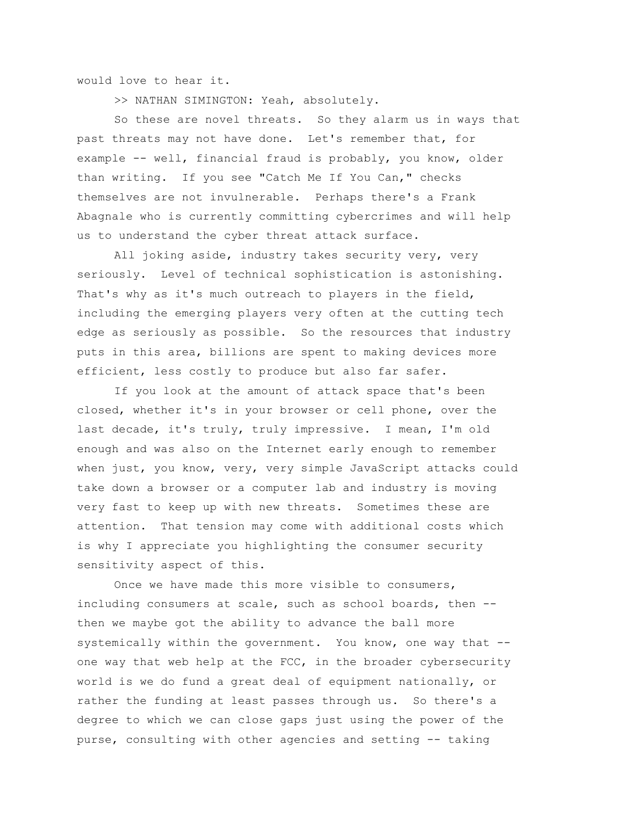would love to hear it.

>> NATHAN SIMINGTON: Yeah, absolutely.

So these are novel threats. So they alarm us in ways that past threats may not have done. Let's remember that, for example -- well, financial fraud is probably, you know, older than writing. If you see "Catch Me If You Can," checks themselves are not invulnerable. Perhaps there's a Frank Abagnale who is currently committing cybercrimes and will help us to understand the cyber threat attack surface.

All joking aside, industry takes security very, very seriously. Level of technical sophistication is astonishing. That's why as it's much outreach to players in the field, including the emerging players very often at the cutting tech edge as seriously as possible. So the resources that industry puts in this area, billions are spent to making devices more efficient, less costly to produce but also far safer.

If you look at the amount of attack space that's been closed, whether it's in your browser or cell phone, over the last decade, it's truly, truly impressive. I mean, I'm old enough and was also on the Internet early enough to remember when just, you know, very, very simple JavaScript attacks could take down a browser or a computer lab and industry is moving very fast to keep up with new threats. Sometimes these are attention. That tension may come with additional costs which is why I appreciate you highlighting the consumer security sensitivity aspect of this.

Once we have made this more visible to consumers, including consumers at scale, such as school boards, then - then we maybe got the ability to advance the ball more systemically within the government. You know, one way that - one way that web help at the FCC, in the broader cybersecurity world is we do fund a great deal of equipment nationally, or rather the funding at least passes through us. So there's a degree to which we can close gaps just using the power of the purse, consulting with other agencies and setting -- taking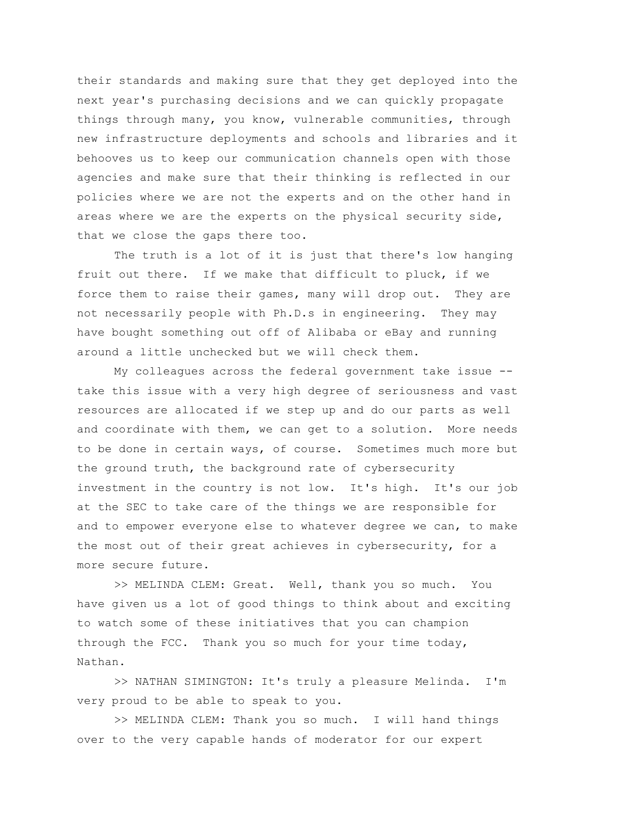their standards and making sure that they get deployed into the next year's purchasing decisions and we can quickly propagate things through many, you know, vulnerable communities, through new infrastructure deployments and schools and libraries and it behooves us to keep our communication channels open with those agencies and make sure that their thinking is reflected in our policies where we are not the experts and on the other hand in areas where we are the experts on the physical security side, that we close the gaps there too.

The truth is a lot of it is just that there's low hanging fruit out there. If we make that difficult to pluck, if we force them to raise their games, many will drop out. They are not necessarily people with Ph.D.s in engineering. They may have bought something out off of Alibaba or eBay and running around a little unchecked but we will check them.

My colleagues across the federal government take issue - take this issue with a very high degree of seriousness and vast resources are allocated if we step up and do our parts as well and coordinate with them, we can get to a solution. More needs to be done in certain ways, of course. Sometimes much more but the ground truth, the background rate of cybersecurity investment in the country is not low. It's high. It's our job at the SEC to take care of the things we are responsible for and to empower everyone else to whatever degree we can, to make the most out of their great achieves in cybersecurity, for a more secure future.

>> MELINDA CLEM: Great. Well, thank you so much. You have given us a lot of good things to think about and exciting to watch some of these initiatives that you can champion through the FCC. Thank you so much for your time today, Nathan.

>> NATHAN SIMINGTON: It's truly a pleasure Melinda. I'm very proud to be able to speak to you.

>> MELINDA CLEM: Thank you so much. I will hand things over to the very capable hands of moderator for our expert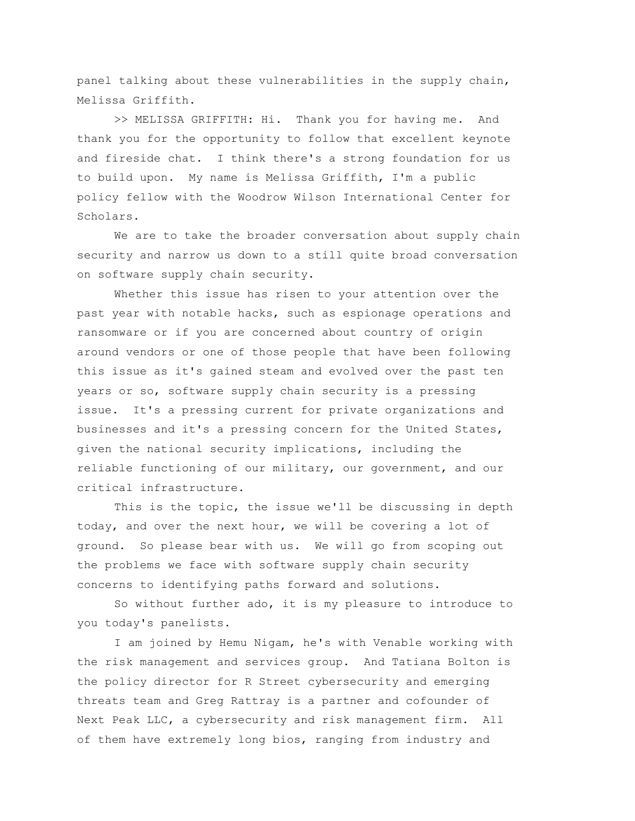panel talking about these vulnerabilities in the supply chain, Melissa Griffith.

>> MELISSA GRIFFITH: Hi. Thank you for having me. And thank you for the opportunity to follow that excellent keynote and fireside chat. I think there's a strong foundation for us to build upon. My name is Melissa Griffith, I'm a public policy fellow with the Woodrow Wilson International Center for Scholars.

We are to take the broader conversation about supply chain security and narrow us down to a still quite broad conversation on software supply chain security.

Whether this issue has risen to your attention over the past year with notable hacks, such as espionage operations and ransomware or if you are concerned about country of origin around vendors or one of those people that have been following this issue as it's gained steam and evolved over the past ten years or so, software supply chain security is a pressing issue. It's a pressing current for private organizations and businesses and it's a pressing concern for the United States, given the national security implications, including the reliable functioning of our military, our government, and our critical infrastructure.

This is the topic, the issue we'll be discussing in depth today, and over the next hour, we will be covering a lot of ground. So please bear with us. We will go from scoping out the problems we face with software supply chain security concerns to identifying paths forward and solutions.

So without further ado, it is my pleasure to introduce to you today's panelists.

I am joined by Hemu Nigam, he's with Venable working with the risk management and services group. And Tatiana Bolton is the policy director for R Street cybersecurity and emerging threats team and Greg Rattray is a partner and cofounder of Next Peak LLC, a cybersecurity and risk management firm. All of them have extremely long bios, ranging from industry and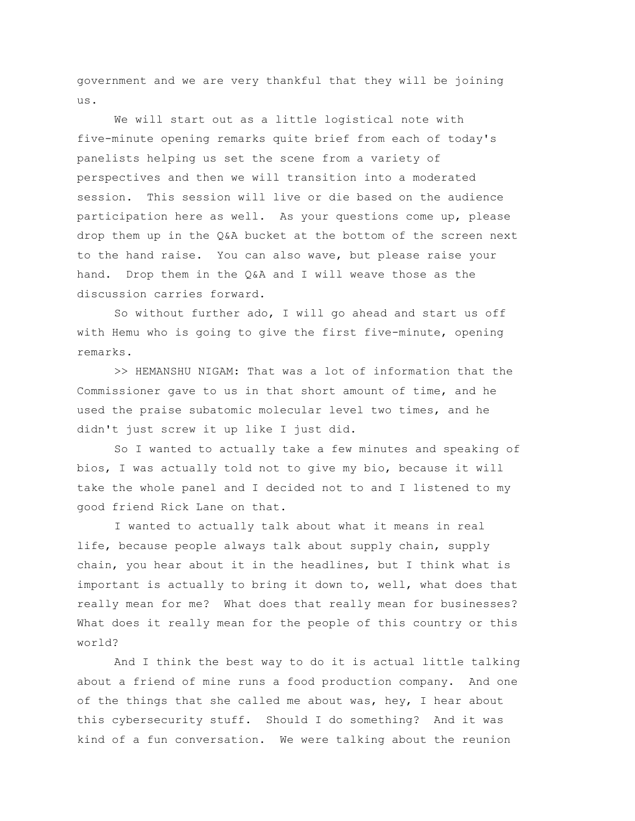government and we are very thankful that they will be joining us.

We will start out as a little logistical note with five-minute opening remarks quite brief from each of today's panelists helping us set the scene from a variety of perspectives and then we will transition into a moderated session. This session will live or die based on the audience participation here as well. As your questions come up, please drop them up in the Q&A bucket at the bottom of the screen next to the hand raise. You can also wave, but please raise your hand. Drop them in the Q&A and I will weave those as the discussion carries forward.

So without further ado, I will go ahead and start us off with Hemu who is going to give the first five-minute, opening remarks.

>> HEMANSHU NIGAM: That was a lot of information that the Commissioner gave to us in that short amount of time, and he used the praise subatomic molecular level two times, and he didn't just screw it up like I just did.

So I wanted to actually take a few minutes and speaking of bios, I was actually told not to give my bio, because it will take the whole panel and I decided not to and I listened to my good friend Rick Lane on that.

I wanted to actually talk about what it means in real life, because people always talk about supply chain, supply chain, you hear about it in the headlines, but I think what is important is actually to bring it down to, well, what does that really mean for me? What does that really mean for businesses? What does it really mean for the people of this country or this world?

And I think the best way to do it is actual little talking about a friend of mine runs a food production company. And one of the things that she called me about was, hey, I hear about this cybersecurity stuff. Should I do something? And it was kind of a fun conversation. We were talking about the reunion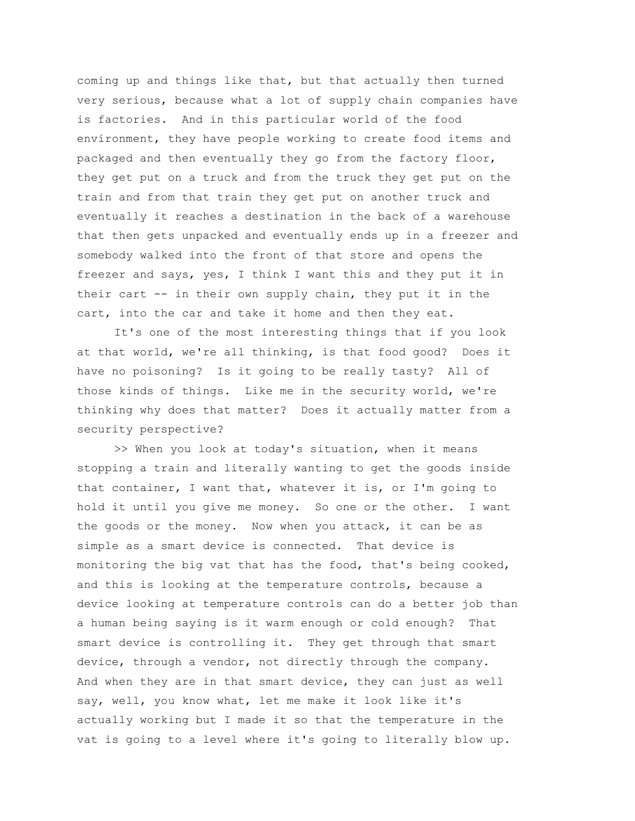coming up and things like that, but that actually then turned very serious, because what a lot of supply chain companies have is factories. And in this particular world of the food environment, they have people working to create food items and packaged and then eventually they go from the factory floor, they get put on a truck and from the truck they get put on the train and from that train they get put on another truck and eventually it reaches a destination in the back of a warehouse that then gets unpacked and eventually ends up in a freezer and somebody walked into the front of that store and opens the freezer and says, yes, I think I want this and they put it in their cart -- in their own supply chain, they put it in the cart, into the car and take it home and then they eat.

It's one of the most interesting things that if you look at that world, we're all thinking, is that food good? Does it have no poisoning? Is it going to be really tasty? All of those kinds of things. Like me in the security world, we're thinking why does that matter? Does it actually matter from a security perspective?

>> When you look at today's situation, when it means stopping a train and literally wanting to get the goods inside that container, I want that, whatever it is, or I'm going to hold it until you give me money. So one or the other. I want the goods or the money. Now when you attack, it can be as simple as a smart device is connected. That device is monitoring the big vat that has the food, that's being cooked, and this is looking at the temperature controls, because a device looking at temperature controls can do a better job than a human being saying is it warm enough or cold enough? That smart device is controlling it. They get through that smart device, through a vendor, not directly through the company. And when they are in that smart device, they can just as well say, well, you know what, let me make it look like it's actually working but I made it so that the temperature in the vat is going to a level where it's going to literally blow up.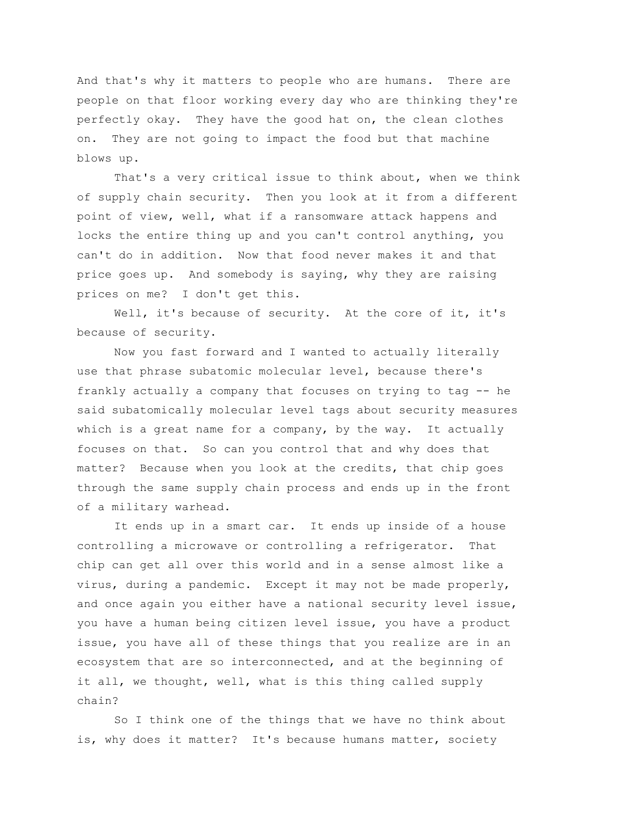And that's why it matters to people who are humans. There are people on that floor working every day who are thinking they're perfectly okay. They have the good hat on, the clean clothes on. They are not going to impact the food but that machine blows up.

That's a very critical issue to think about, when we think of supply chain security. Then you look at it from a different point of view, well, what if a ransomware attack happens and locks the entire thing up and you can't control anything, you can't do in addition. Now that food never makes it and that price goes up. And somebody is saying, why they are raising prices on me? I don't get this.

Well, it's because of security. At the core of it, it's because of security.

Now you fast forward and I wanted to actually literally use that phrase subatomic molecular level, because there's frankly actually a company that focuses on trying to tag -- he said subatomically molecular level tags about security measures which is a great name for a company, by the way. It actually focuses on that. So can you control that and why does that matter? Because when you look at the credits, that chip goes through the same supply chain process and ends up in the front of a military warhead.

It ends up in a smart car. It ends up inside of a house controlling a microwave or controlling a refrigerator. That chip can get all over this world and in a sense almost like a virus, during a pandemic. Except it may not be made properly, and once again you either have a national security level issue, you have a human being citizen level issue, you have a product issue, you have all of these things that you realize are in an ecosystem that are so interconnected, and at the beginning of it all, we thought, well, what is this thing called supply chain?

So I think one of the things that we have no think about is, why does it matter? It's because humans matter, society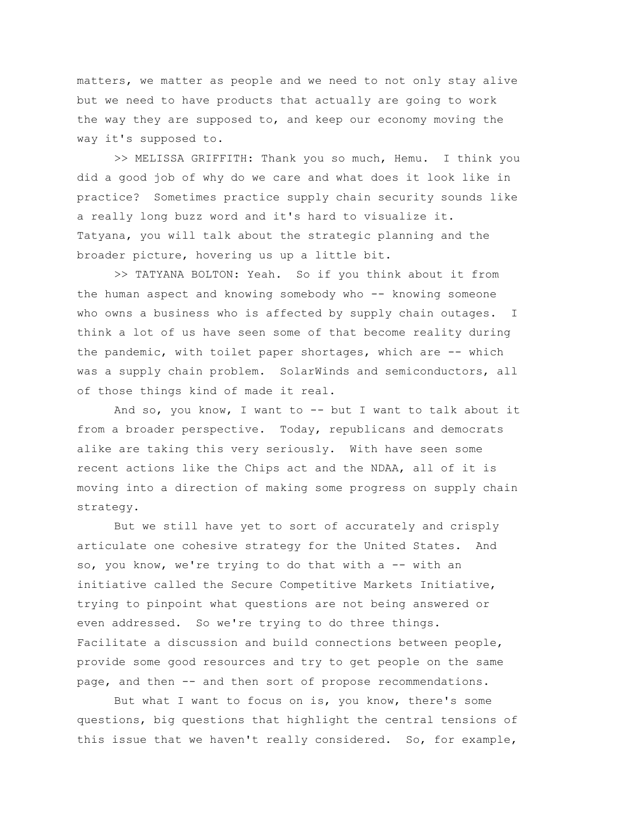matters, we matter as people and we need to not only stay alive but we need to have products that actually are going to work the way they are supposed to, and keep our economy moving the way it's supposed to.

>> MELISSA GRIFFITH: Thank you so much, Hemu. I think you did a good job of why do we care and what does it look like in practice? Sometimes practice supply chain security sounds like a really long buzz word and it's hard to visualize it. Tatyana, you will talk about the strategic planning and the broader picture, hovering us up a little bit.

>> TATYANA BOLTON: Yeah. So if you think about it from the human aspect and knowing somebody who -- knowing someone who owns a business who is affected by supply chain outages. I think a lot of us have seen some of that become reality during the pandemic, with toilet paper shortages, which are -- which was a supply chain problem. SolarWinds and semiconductors, all of those things kind of made it real.

And so, you know, I want to -- but I want to talk about it from a broader perspective. Today, republicans and democrats alike are taking this very seriously. With have seen some recent actions like the Chips act and the NDAA, all of it is moving into a direction of making some progress on supply chain strategy.

But we still have yet to sort of accurately and crisply articulate one cohesive strategy for the United States. And so, you know, we're trying to do that with a -- with an initiative called the Secure Competitive Markets Initiative, trying to pinpoint what questions are not being answered or even addressed. So we're trying to do three things. Facilitate a discussion and build connections between people, provide some good resources and try to get people on the same page, and then -- and then sort of propose recommendations.

But what I want to focus on is, you know, there's some questions, big questions that highlight the central tensions of this issue that we haven't really considered. So, for example,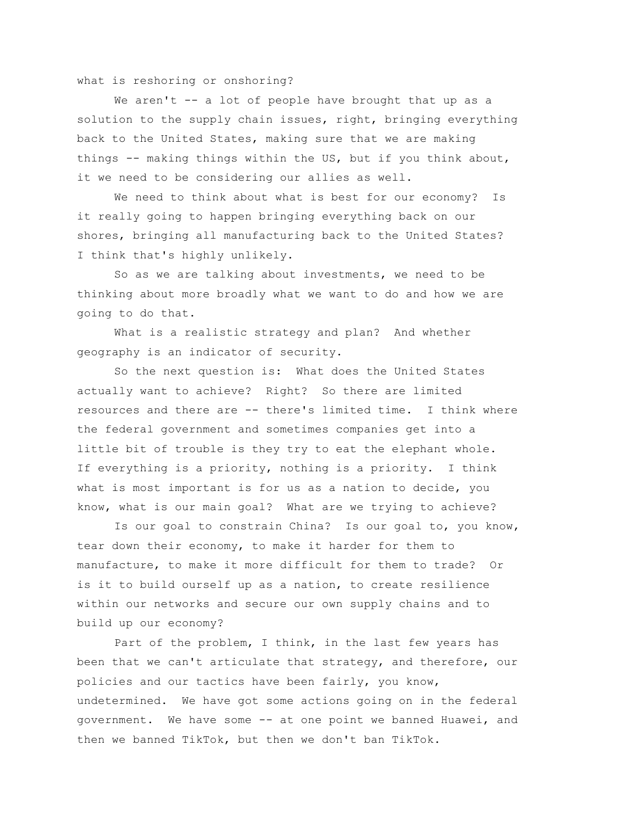what is reshoring or onshoring?

We aren't -- a lot of people have brought that up as a solution to the supply chain issues, right, bringing everything back to the United States, making sure that we are making things -- making things within the US, but if you think about, it we need to be considering our allies as well.

We need to think about what is best for our economy? Is it really going to happen bringing everything back on our shores, bringing all manufacturing back to the United States? I think that's highly unlikely.

So as we are talking about investments, we need to be thinking about more broadly what we want to do and how we are going to do that.

What is a realistic strategy and plan? And whether geography is an indicator of security.

So the next question is: What does the United States actually want to achieve? Right? So there are limited resources and there are -- there's limited time. I think where the federal government and sometimes companies get into a little bit of trouble is they try to eat the elephant whole. If everything is a priority, nothing is a priority. I think what is most important is for us as a nation to decide, you know, what is our main goal? What are we trying to achieve?

Is our goal to constrain China? Is our goal to, you know, tear down their economy, to make it harder for them to manufacture, to make it more difficult for them to trade? Or is it to build ourself up as a nation, to create resilience within our networks and secure our own supply chains and to build up our economy?

Part of the problem, I think, in the last few years has been that we can't articulate that strategy, and therefore, our policies and our tactics have been fairly, you know, undetermined. We have got some actions going on in the federal government. We have some -- at one point we banned Huawei, and then we banned TikTok, but then we don't ban TikTok.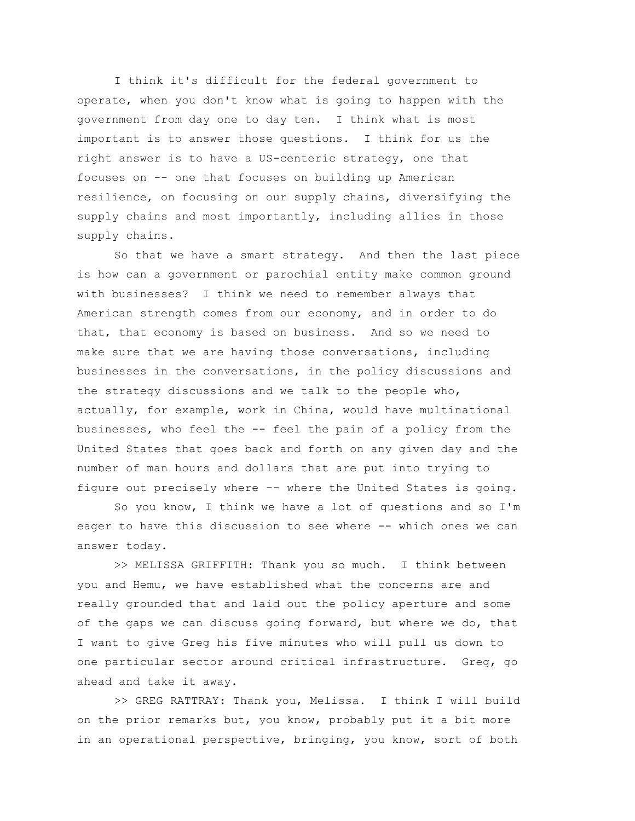I think it's difficult for the federal government to operate, when you don't know what is going to happen with the government from day one to day ten. I think what is most important is to answer those questions. I think for us the right answer is to have a US-centeric strategy, one that focuses on -- one that focuses on building up American resilience, on focusing on our supply chains, diversifying the supply chains and most importantly, including allies in those supply chains.

So that we have a smart strategy. And then the last piece is how can a government or parochial entity make common ground with businesses? I think we need to remember always that American strength comes from our economy, and in order to do that, that economy is based on business. And so we need to make sure that we are having those conversations, including businesses in the conversations, in the policy discussions and the strategy discussions and we talk to the people who, actually, for example, work in China, would have multinational businesses, who feel the -- feel the pain of a policy from the United States that goes back and forth on any given day and the number of man hours and dollars that are put into trying to figure out precisely where -- where the United States is going.

So you know, I think we have a lot of questions and so I'm eager to have this discussion to see where -- which ones we can answer today.

>> MELISSA GRIFFITH: Thank you so much. I think between you and Hemu, we have established what the concerns are and really grounded that and laid out the policy aperture and some of the gaps we can discuss going forward, but where we do, that I want to give Greg his five minutes who will pull us down to one particular sector around critical infrastructure. Greg, go ahead and take it away.

>> GREG RATTRAY: Thank you, Melissa. I think I will build on the prior remarks but, you know, probably put it a bit more in an operational perspective, bringing, you know, sort of both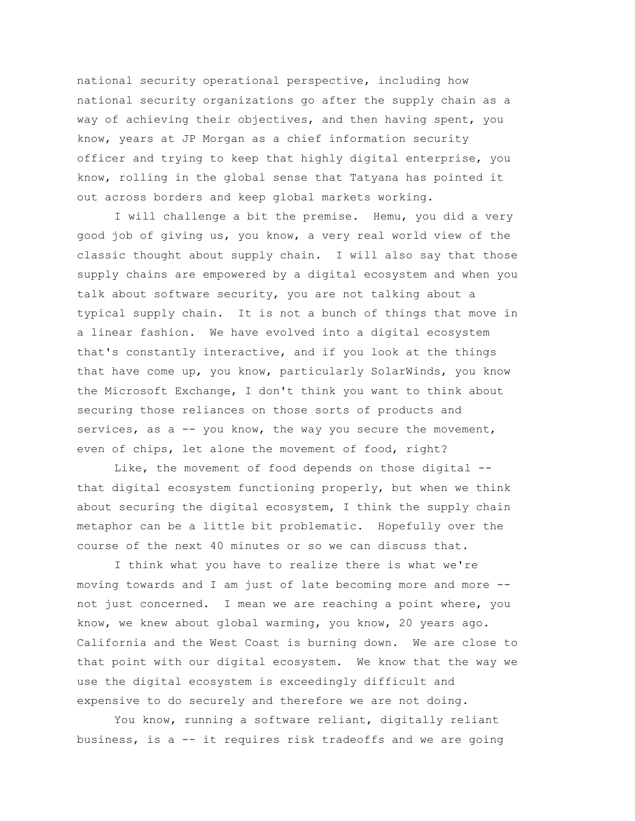national security operational perspective, including how national security organizations go after the supply chain as a way of achieving their objectives, and then having spent, you know, years at JP Morgan as a chief information security officer and trying to keep that highly digital enterprise, you know, rolling in the global sense that Tatyana has pointed it out across borders and keep global markets working.

I will challenge a bit the premise. Hemu, you did a very good job of giving us, you know, a very real world view of the classic thought about supply chain. I will also say that those supply chains are empowered by a digital ecosystem and when you talk about software security, you are not talking about a typical supply chain. It is not a bunch of things that move in a linear fashion. We have evolved into a digital ecosystem that's constantly interactive, and if you look at the things that have come up, you know, particularly SolarWinds, you know the Microsoft Exchange, I don't think you want to think about securing those reliances on those sorts of products and services, as a -- you know, the way you secure the movement, even of chips, let alone the movement of food, right?

Like, the movement of food depends on those digital -that digital ecosystem functioning properly, but when we think about securing the digital ecosystem, I think the supply chain metaphor can be a little bit problematic. Hopefully over the course of the next 40 minutes or so we can discuss that.

I think what you have to realize there is what we're moving towards and I am just of late becoming more and more - not just concerned. I mean we are reaching a point where, you know, we knew about global warming, you know, 20 years ago. California and the West Coast is burning down. We are close to that point with our digital ecosystem. We know that the way we use the digital ecosystem is exceedingly difficult and expensive to do securely and therefore we are not doing.

You know, running a software reliant, digitally reliant business, is a -- it requires risk tradeoffs and we are going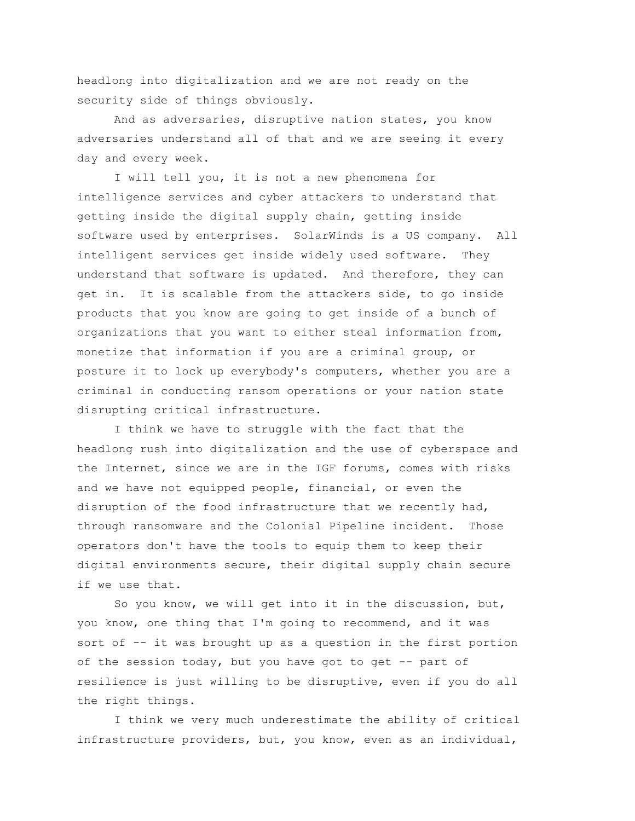headlong into digitalization and we are not ready on the security side of things obviously.

And as adversaries, disruptive nation states, you know adversaries understand all of that and we are seeing it every day and every week.

I will tell you, it is not a new phenomena for intelligence services and cyber attackers to understand that getting inside the digital supply chain, getting inside software used by enterprises. SolarWinds is a US company. All intelligent services get inside widely used software. They understand that software is updated. And therefore, they can get in. It is scalable from the attackers side, to go inside products that you know are going to get inside of a bunch of organizations that you want to either steal information from, monetize that information if you are a criminal group, or posture it to lock up everybody's computers, whether you are a criminal in conducting ransom operations or your nation state disrupting critical infrastructure.

I think we have to struggle with the fact that the headlong rush into digitalization and the use of cyberspace and the Internet, since we are in the IGF forums, comes with risks and we have not equipped people, financial, or even the disruption of the food infrastructure that we recently had, through ransomware and the Colonial Pipeline incident. Those operators don't have the tools to equip them to keep their digital environments secure, their digital supply chain secure if we use that.

So you know, we will get into it in the discussion, but, you know, one thing that I'm going to recommend, and it was sort of -- it was brought up as a question in the first portion of the session today, but you have got to get -- part of resilience is just willing to be disruptive, even if you do all the right things.

I think we very much underestimate the ability of critical infrastructure providers, but, you know, even as an individual,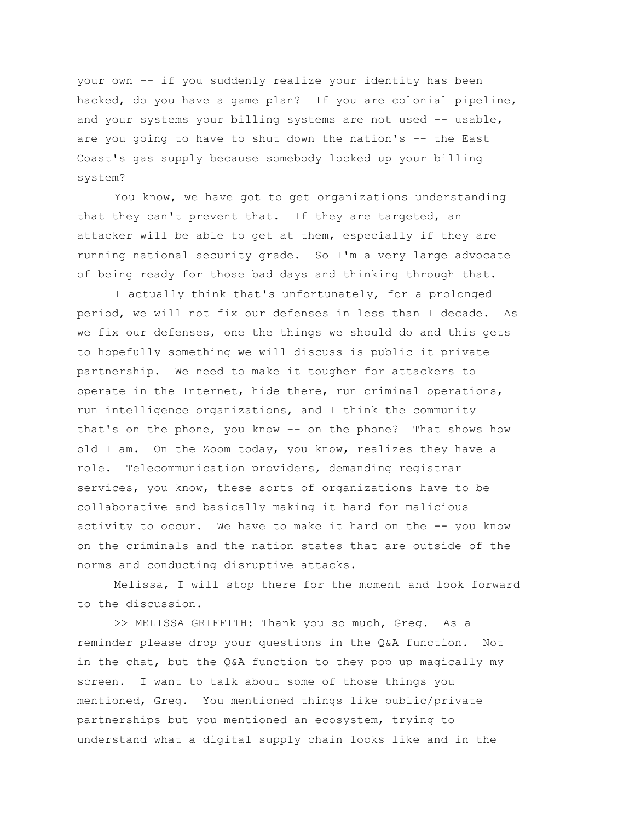your own -- if you suddenly realize your identity has been hacked, do you have a game plan? If you are colonial pipeline, and your systems your billing systems are not used -- usable, are you going to have to shut down the nation's -- the East Coast's gas supply because somebody locked up your billing system?

You know, we have got to get organizations understanding that they can't prevent that. If they are targeted, an attacker will be able to get at them, especially if they are running national security grade. So I'm a very large advocate of being ready for those bad days and thinking through that.

I actually think that's unfortunately, for a prolonged period, we will not fix our defenses in less than I decade. As we fix our defenses, one the things we should do and this gets to hopefully something we will discuss is public it private partnership. We need to make it tougher for attackers to operate in the Internet, hide there, run criminal operations, run intelligence organizations, and I think the community that's on the phone, you know -- on the phone? That shows how old I am. On the Zoom today, you know, realizes they have a role. Telecommunication providers, demanding registrar services, you know, these sorts of organizations have to be collaborative and basically making it hard for malicious activity to occur. We have to make it hard on the -- you know on the criminals and the nation states that are outside of the norms and conducting disruptive attacks.

Melissa, I will stop there for the moment and look forward to the discussion.

>> MELISSA GRIFFITH: Thank you so much, Greg. As a reminder please drop your questions in the Q&A function. Not in the chat, but the Q&A function to they pop up magically my screen. I want to talk about some of those things you mentioned, Greg. You mentioned things like public/private partnerships but you mentioned an ecosystem, trying to understand what a digital supply chain looks like and in the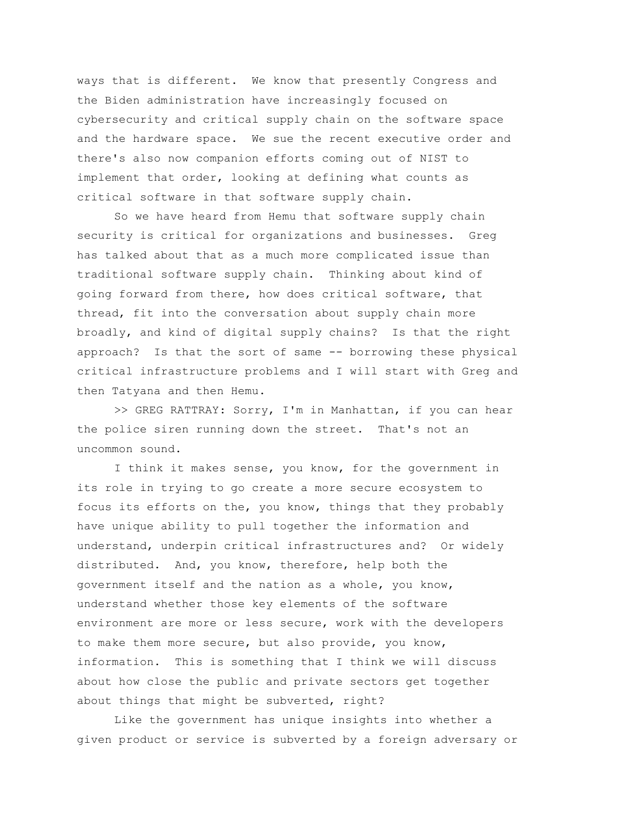ways that is different. We know that presently Congress and the Biden administration have increasingly focused on cybersecurity and critical supply chain on the software space and the hardware space. We sue the recent executive order and there's also now companion efforts coming out of NIST to implement that order, looking at defining what counts as critical software in that software supply chain.

So we have heard from Hemu that software supply chain security is critical for organizations and businesses. Greg has talked about that as a much more complicated issue than traditional software supply chain. Thinking about kind of going forward from there, how does critical software, that thread, fit into the conversation about supply chain more broadly, and kind of digital supply chains? Is that the right approach? Is that the sort of same -- borrowing these physical critical infrastructure problems and I will start with Greg and then Tatyana and then Hemu.

>> GREG RATTRAY: Sorry, I'm in Manhattan, if you can hear the police siren running down the street. That's not an uncommon sound.

I think it makes sense, you know, for the government in its role in trying to go create a more secure ecosystem to focus its efforts on the, you know, things that they probably have unique ability to pull together the information and understand, underpin critical infrastructures and? Or widely distributed. And, you know, therefore, help both the government itself and the nation as a whole, you know, understand whether those key elements of the software environment are more or less secure, work with the developers to make them more secure, but also provide, you know, information. This is something that I think we will discuss about how close the public and private sectors get together about things that might be subverted, right?

Like the government has unique insights into whether a given product or service is subverted by a foreign adversary or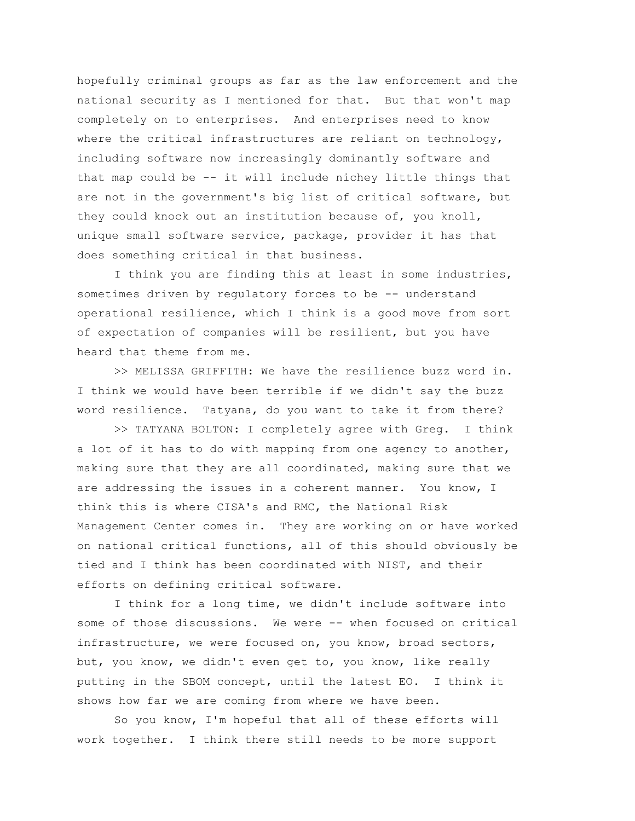hopefully criminal groups as far as the law enforcement and the national security as I mentioned for that. But that won't map completely on to enterprises. And enterprises need to know where the critical infrastructures are reliant on technology, including software now increasingly dominantly software and that map could be -- it will include nichey little things that are not in the government's big list of critical software, but they could knock out an institution because of, you knoll, unique small software service, package, provider it has that does something critical in that business.

I think you are finding this at least in some industries, sometimes driven by regulatory forces to be -- understand operational resilience, which I think is a good move from sort of expectation of companies will be resilient, but you have heard that theme from me.

>> MELISSA GRIFFITH: We have the resilience buzz word in. I think we would have been terrible if we didn't say the buzz word resilience. Tatyana, do you want to take it from there?

>> TATYANA BOLTON: I completely agree with Greg. I think a lot of it has to do with mapping from one agency to another, making sure that they are all coordinated, making sure that we are addressing the issues in a coherent manner. You know, I think this is where CISA's and RMC, the National Risk Management Center comes in. They are working on or have worked on national critical functions, all of this should obviously be tied and I think has been coordinated with NIST, and their efforts on defining critical software.

I think for a long time, we didn't include software into some of those discussions. We were -- when focused on critical infrastructure, we were focused on, you know, broad sectors, but, you know, we didn't even get to, you know, like really putting in the SBOM concept, until the latest EO. I think it shows how far we are coming from where we have been.

So you know, I'm hopeful that all of these efforts will work together. I think there still needs to be more support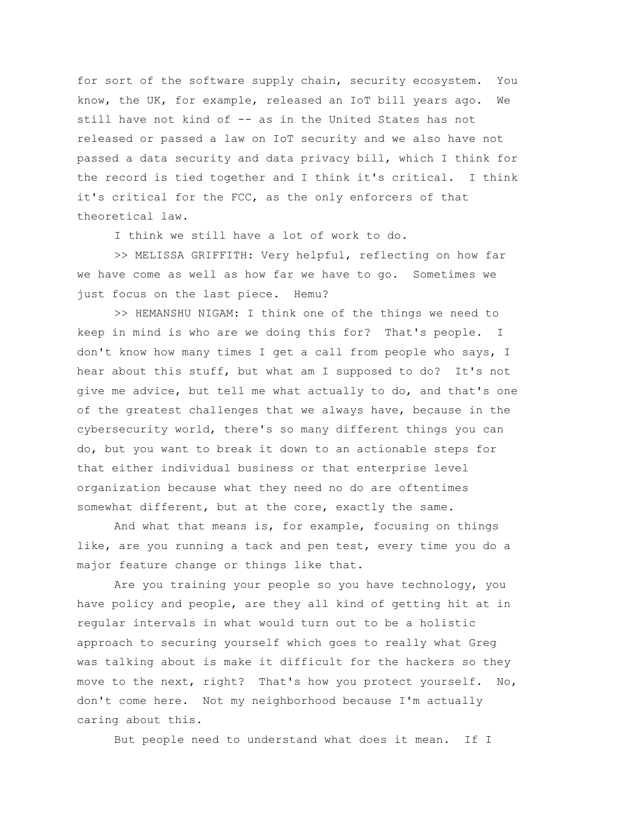for sort of the software supply chain, security ecosystem. You know, the UK, for example, released an IoT bill years ago. We still have not kind of -- as in the United States has not released or passed a law on IoT security and we also have not passed a data security and data privacy bill, which I think for the record is tied together and I think it's critical. I think it's critical for the FCC, as the only enforcers of that theoretical law.

I think we still have a lot of work to do.

>> MELISSA GRIFFITH: Very helpful, reflecting on how far we have come as well as how far we have to go. Sometimes we just focus on the last piece. Hemu?

>> HEMANSHU NIGAM: I think one of the things we need to keep in mind is who are we doing this for? That's people. I don't know how many times I get a call from people who says, I hear about this stuff, but what am I supposed to do? It's not give me advice, but tell me what actually to do, and that's one of the greatest challenges that we always have, because in the cybersecurity world, there's so many different things you can do, but you want to break it down to an actionable steps for that either individual business or that enterprise level organization because what they need no do are oftentimes somewhat different, but at the core, exactly the same.

And what that means is, for example, focusing on things like, are you running a tack and pen test, every time you do a major feature change or things like that.

Are you training your people so you have technology, you have policy and people, are they all kind of getting hit at in regular intervals in what would turn out to be a holistic approach to securing yourself which goes to really what Greg was talking about is make it difficult for the hackers so they move to the next, right? That's how you protect yourself. No, don't come here. Not my neighborhood because I'm actually caring about this.

But people need to understand what does it mean. If I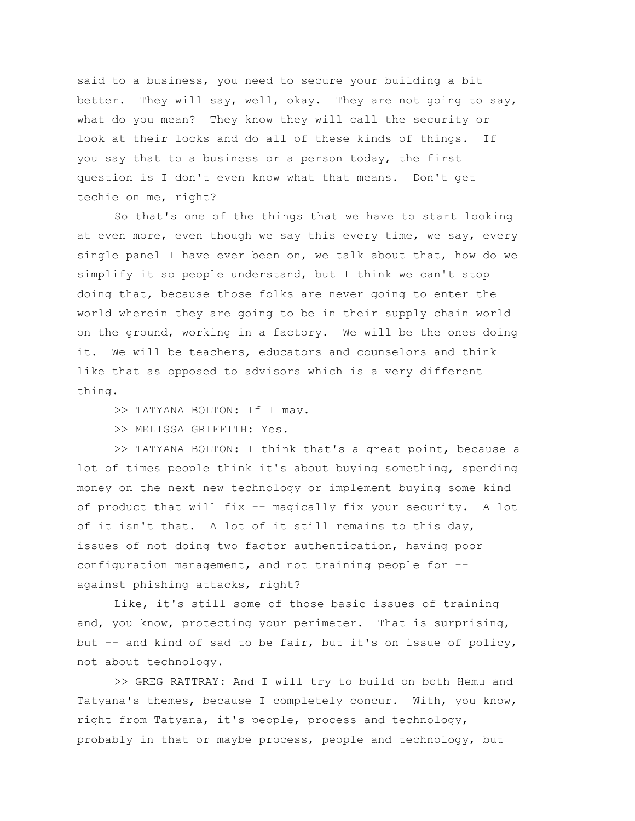said to a business, you need to secure your building a bit better. They will say, well, okay. They are not going to say, what do you mean? They know they will call the security or look at their locks and do all of these kinds of things. If you say that to a business or a person today, the first question is I don't even know what that means. Don't get techie on me, right?

So that's one of the things that we have to start looking at even more, even though we say this every time, we say, every single panel I have ever been on, we talk about that, how do we simplify it so people understand, but I think we can't stop doing that, because those folks are never going to enter the world wherein they are going to be in their supply chain world on the ground, working in a factory. We will be the ones doing it. We will be teachers, educators and counselors and think like that as opposed to advisors which is a very different thing.

>> TATYANA BOLTON: If I may.

>> MELISSA GRIFFITH: Yes.

>> TATYANA BOLTON: I think that's a great point, because a lot of times people think it's about buying something, spending money on the next new technology or implement buying some kind of product that will fix -- magically fix your security. A lot of it isn't that. A lot of it still remains to this day, issues of not doing two factor authentication, having poor configuration management, and not training people for - against phishing attacks, right?

Like, it's still some of those basic issues of training and, you know, protecting your perimeter. That is surprising, but -- and kind of sad to be fair, but it's on issue of policy, not about technology.

>> GREG RATTRAY: And I will try to build on both Hemu and Tatyana's themes, because I completely concur. With, you know, right from Tatyana, it's people, process and technology, probably in that or maybe process, people and technology, but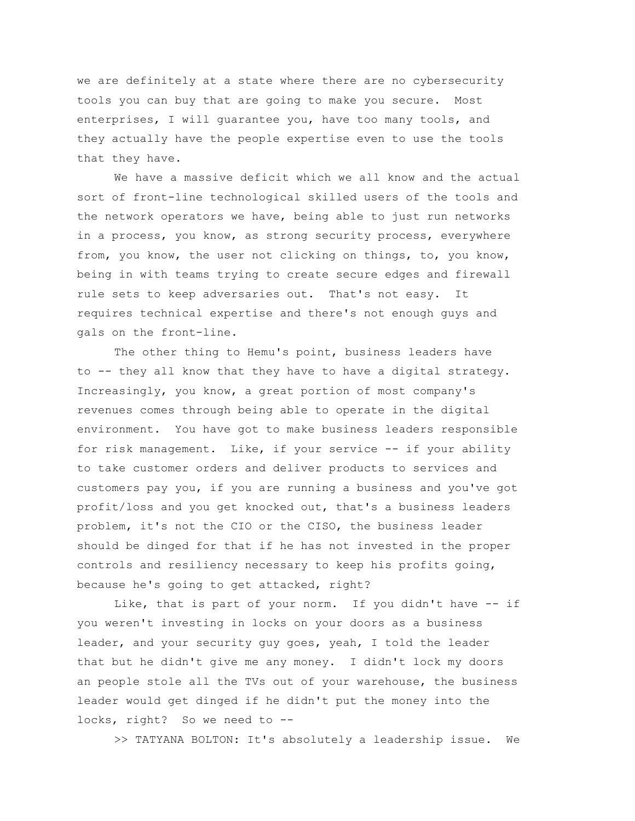we are definitely at a state where there are no cybersecurity tools you can buy that are going to make you secure. Most enterprises, I will guarantee you, have too many tools, and they actually have the people expertise even to use the tools that they have.

We have a massive deficit which we all know and the actual sort of front-line technological skilled users of the tools and the network operators we have, being able to just run networks in a process, you know, as strong security process, everywhere from, you know, the user not clicking on things, to, you know, being in with teams trying to create secure edges and firewall rule sets to keep adversaries out. That's not easy. It requires technical expertise and there's not enough guys and gals on the front-line.

The other thing to Hemu's point, business leaders have to -- they all know that they have to have a digital strategy. Increasingly, you know, a great portion of most company's revenues comes through being able to operate in the digital environment. You have got to make business leaders responsible for risk management. Like, if your service -- if your ability to take customer orders and deliver products to services and customers pay you, if you are running a business and you've got profit/loss and you get knocked out, that's a business leaders problem, it's not the CIO or the CISO, the business leader should be dinged for that if he has not invested in the proper controls and resiliency necessary to keep his profits going, because he's going to get attacked, right?

Like, that is part of your norm. If you didn't have -- if you weren't investing in locks on your doors as a business leader, and your security guy goes, yeah, I told the leader that but he didn't give me any money. I didn't lock my doors an people stole all the TVs out of your warehouse, the business leader would get dinged if he didn't put the money into the locks, right? So we need to --

>> TATYANA BOLTON: It's absolutely a leadership issue. We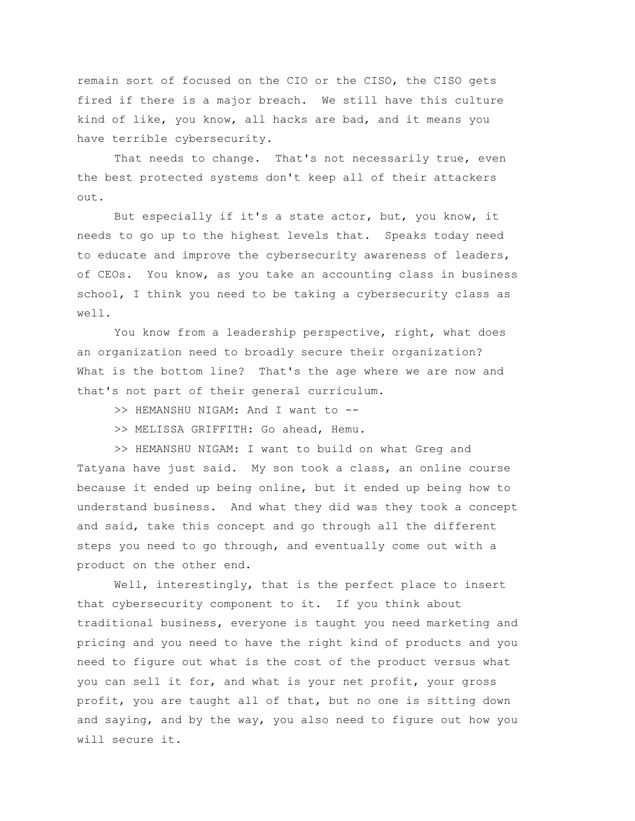remain sort of focused on the CIO or the CISO, the CISO gets fired if there is a major breach. We still have this culture kind of like, you know, all hacks are bad, and it means you have terrible cybersecurity.

That needs to change. That's not necessarily true, even the best protected systems don't keep all of their attackers out.

But especially if it's a state actor, but, you know, it needs to go up to the highest levels that. Speaks today need to educate and improve the cybersecurity awareness of leaders, of CEOs. You know, as you take an accounting class in business school, I think you need to be taking a cybersecurity class as well.

You know from a leadership perspective, right, what does an organization need to broadly secure their organization? What is the bottom line? That's the age where we are now and that's not part of their general curriculum.

- >> HEMANSHU NIGAM: And I want to --
- >> MELISSA GRIFFITH: Go ahead, Hemu.

>> HEMANSHU NIGAM: I want to build on what Greg and Tatyana have just said. My son took a class, an online course because it ended up being online, but it ended up being how to understand business. And what they did was they took a concept and said, take this concept and go through all the different steps you need to go through, and eventually come out with a product on the other end.

Well, interestingly, that is the perfect place to insert that cybersecurity component to it. If you think about traditional business, everyone is taught you need marketing and pricing and you need to have the right kind of products and you need to figure out what is the cost of the product versus what you can sell it for, and what is your net profit, your gross profit, you are taught all of that, but no one is sitting down and saying, and by the way, you also need to figure out how you will secure it.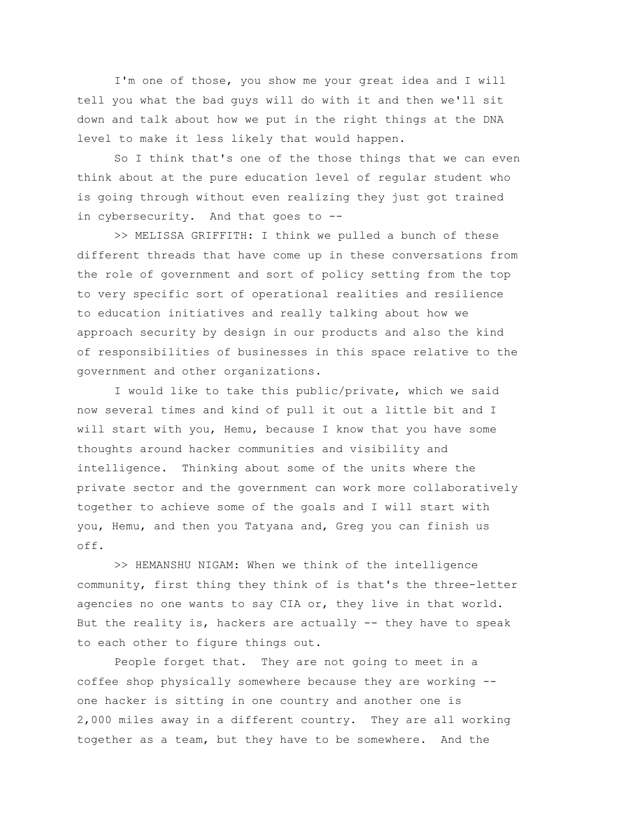I'm one of those, you show me your great idea and I will tell you what the bad guys will do with it and then we'll sit down and talk about how we put in the right things at the DNA level to make it less likely that would happen.

So I think that's one of the those things that we can even think about at the pure education level of regular student who is going through without even realizing they just got trained in cybersecurity. And that goes to --

>> MELISSA GRIFFITH: I think we pulled a bunch of these different threads that have come up in these conversations from the role of government and sort of policy setting from the top to very specific sort of operational realities and resilience to education initiatives and really talking about how we approach security by design in our products and also the kind of responsibilities of businesses in this space relative to the government and other organizations.

I would like to take this public/private, which we said now several times and kind of pull it out a little bit and I will start with you, Hemu, because I know that you have some thoughts around hacker communities and visibility and intelligence. Thinking about some of the units where the private sector and the government can work more collaboratively together to achieve some of the goals and I will start with you, Hemu, and then you Tatyana and, Greg you can finish us off.

>> HEMANSHU NIGAM: When we think of the intelligence community, first thing they think of is that's the three-letter agencies no one wants to say CIA or, they live in that world. But the reality is, hackers are actually  $-$ - they have to speak to each other to figure things out.

People forget that. They are not going to meet in a coffee shop physically somewhere because they are working - one hacker is sitting in one country and another one is 2,000 miles away in a different country. They are all working together as a team, but they have to be somewhere. And the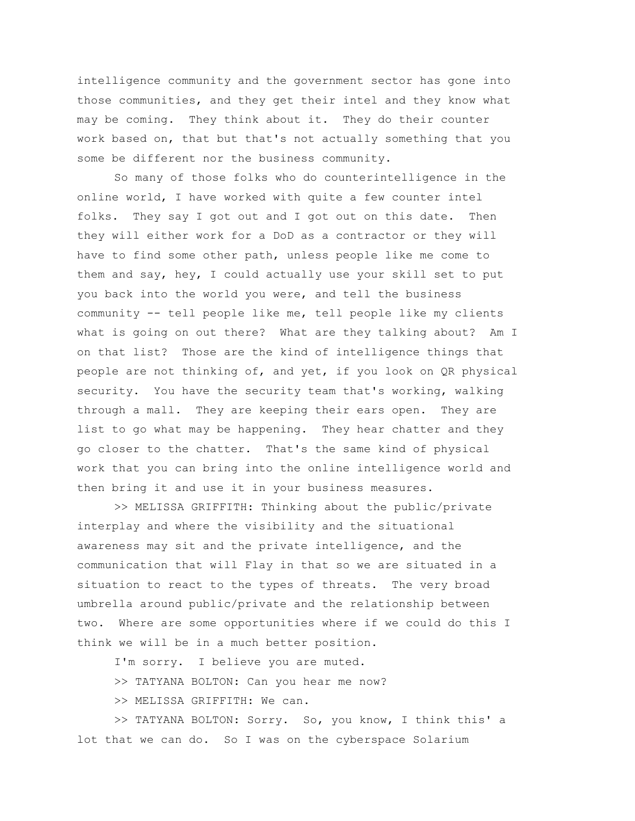intelligence community and the government sector has gone into those communities, and they get their intel and they know what may be coming. They think about it. They do their counter work based on, that but that's not actually something that you some be different nor the business community.

So many of those folks who do counterintelligence in the online world, I have worked with quite a few counter intel folks. They say I got out and I got out on this date. Then they will either work for a DoD as a contractor or they will have to find some other path, unless people like me come to them and say, hey, I could actually use your skill set to put you back into the world you were, and tell the business community -- tell people like me, tell people like my clients what is going on out there? What are they talking about? Am I on that list? Those are the kind of intelligence things that people are not thinking of, and yet, if you look on QR physical security. You have the security team that's working, walking through a mall. They are keeping their ears open. They are list to go what may be happening. They hear chatter and they go closer to the chatter. That's the same kind of physical work that you can bring into the online intelligence world and then bring it and use it in your business measures.

>> MELISSA GRIFFITH: Thinking about the public/private interplay and where the visibility and the situational awareness may sit and the private intelligence, and the communication that will Flay in that so we are situated in a situation to react to the types of threats. The very broad umbrella around public/private and the relationship between two. Where are some opportunities where if we could do this I think we will be in a much better position.

I'm sorry. I believe you are muted.

>> TATYANA BOLTON: Can you hear me now?

>> MELISSA GRIFFITH: We can.

>> TATYANA BOLTON: Sorry. So, you know, I think this' a lot that we can do. So I was on the cyberspace Solarium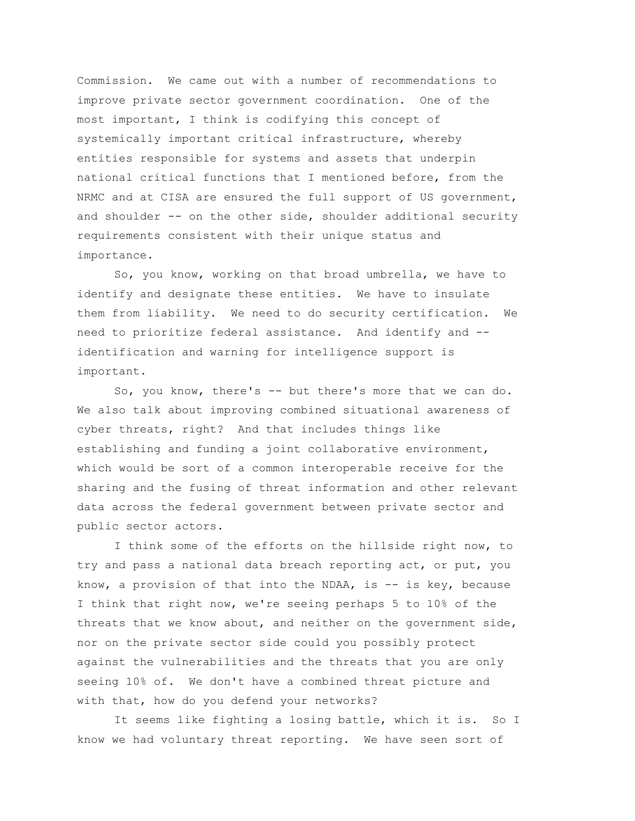Commission. We came out with a number of recommendations to improve private sector government coordination. One of the most important, I think is codifying this concept of systemically important critical infrastructure, whereby entities responsible for systems and assets that underpin national critical functions that I mentioned before, from the NRMC and at CISA are ensured the full support of US government, and shoulder -- on the other side, shoulder additional security requirements consistent with their unique status and importance.

So, you know, working on that broad umbrella, we have to identify and designate these entities. We have to insulate them from liability. We need to do security certification. We need to prioritize federal assistance. And identify and - identification and warning for intelligence support is important.

So, you know, there's  $-$  but there's more that we can do. We also talk about improving combined situational awareness of cyber threats, right? And that includes things like establishing and funding a joint collaborative environment, which would be sort of a common interoperable receive for the sharing and the fusing of threat information and other relevant data across the federal government between private sector and public sector actors.

I think some of the efforts on the hillside right now, to try and pass a national data breach reporting act, or put, you know, a provision of that into the NDAA, is  $--$  is key, because I think that right now, we're seeing perhaps 5 to 10% of the threats that we know about, and neither on the government side, nor on the private sector side could you possibly protect against the vulnerabilities and the threats that you are only seeing 10% of. We don't have a combined threat picture and with that, how do you defend your networks?

It seems like fighting a losing battle, which it is. So I know we had voluntary threat reporting. We have seen sort of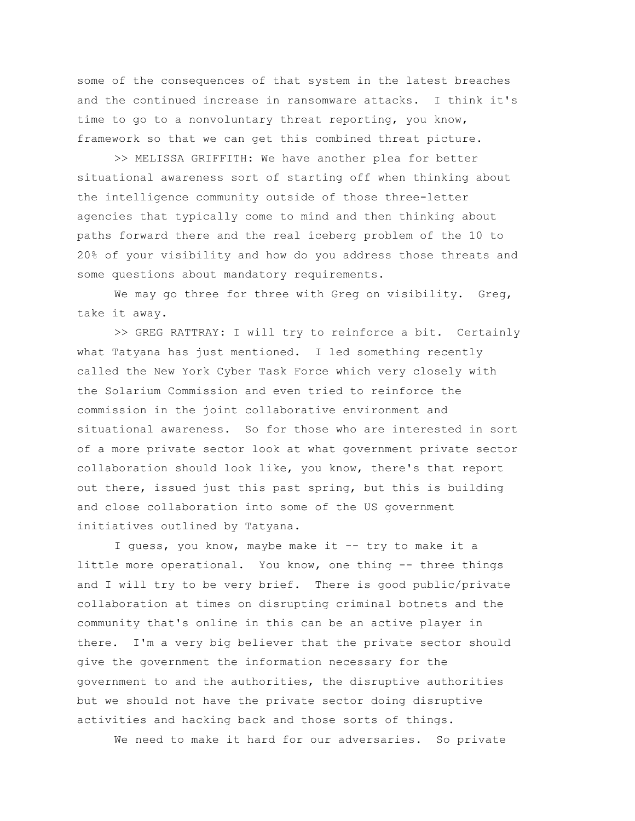some of the consequences of that system in the latest breaches and the continued increase in ransomware attacks. I think it's time to go to a nonvoluntary threat reporting, you know, framework so that we can get this combined threat picture.

>> MELISSA GRIFFITH: We have another plea for better situational awareness sort of starting off when thinking about the intelligence community outside of those three-letter agencies that typically come to mind and then thinking about paths forward there and the real iceberg problem of the 10 to 20% of your visibility and how do you address those threats and some questions about mandatory requirements.

We may go three for three with Greg on visibility. Greg, take it away.

>> GREG RATTRAY: I will try to reinforce a bit. Certainly what Tatyana has just mentioned. I led something recently called the New York Cyber Task Force which very closely with the Solarium Commission and even tried to reinforce the commission in the joint collaborative environment and situational awareness. So for those who are interested in sort of a more private sector look at what government private sector collaboration should look like, you know, there's that report out there, issued just this past spring, but this is building and close collaboration into some of the US government initiatives outlined by Tatyana.

I quess, you know, maybe make it -- try to make it a little more operational. You know, one thing -- three things and I will try to be very brief. There is good public/private collaboration at times on disrupting criminal botnets and the community that's online in this can be an active player in there. I'm a very big believer that the private sector should give the government the information necessary for the government to and the authorities, the disruptive authorities but we should not have the private sector doing disruptive activities and hacking back and those sorts of things.

We need to make it hard for our adversaries. So private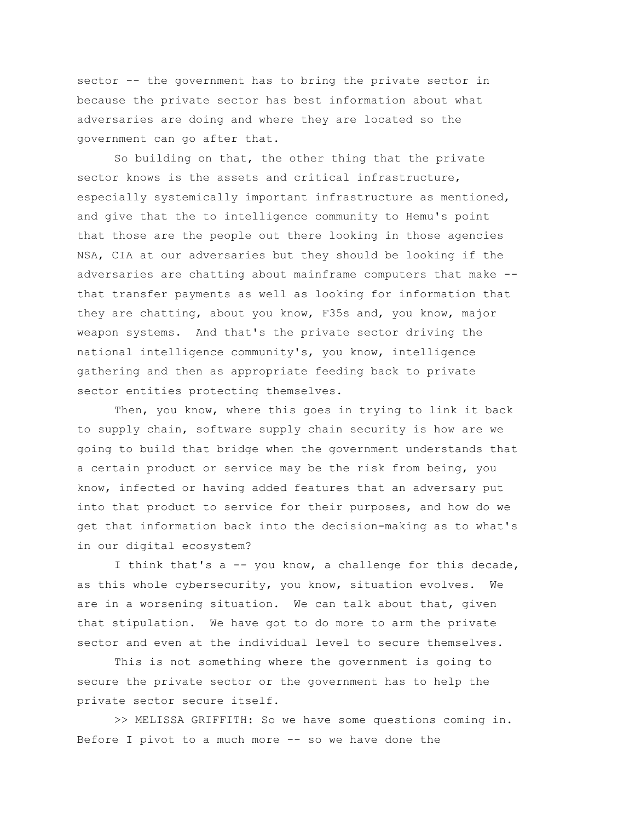sector -- the government has to bring the private sector in because the private sector has best information about what adversaries are doing and where they are located so the government can go after that.

So building on that, the other thing that the private sector knows is the assets and critical infrastructure, especially systemically important infrastructure as mentioned, and give that the to intelligence community to Hemu's point that those are the people out there looking in those agencies NSA, CIA at our adversaries but they should be looking if the adversaries are chatting about mainframe computers that make - that transfer payments as well as looking for information that they are chatting, about you know, F35s and, you know, major weapon systems. And that's the private sector driving the national intelligence community's, you know, intelligence gathering and then as appropriate feeding back to private sector entities protecting themselves.

Then, you know, where this goes in trying to link it back to supply chain, software supply chain security is how are we going to build that bridge when the government understands that a certain product or service may be the risk from being, you know, infected or having added features that an adversary put into that product to service for their purposes, and how do we get that information back into the decision-making as to what's in our digital ecosystem?

I think that's a -- you know, a challenge for this decade, as this whole cybersecurity, you know, situation evolves. We are in a worsening situation. We can talk about that, given that stipulation. We have got to do more to arm the private sector and even at the individual level to secure themselves.

This is not something where the government is going to secure the private sector or the government has to help the private sector secure itself.

>> MELISSA GRIFFITH: So we have some questions coming in. Before I pivot to a much more -- so we have done the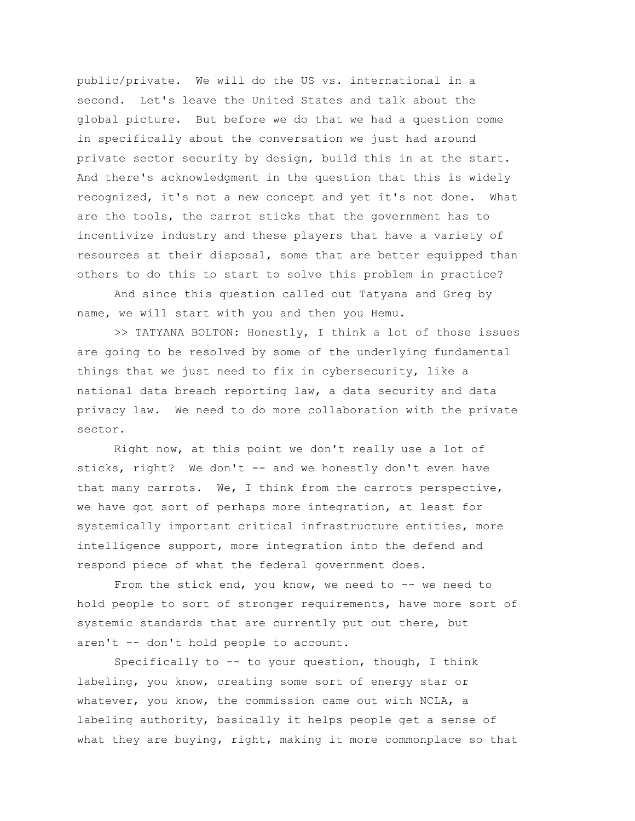public/private. We will do the US vs. international in a second. Let's leave the United States and talk about the global picture. But before we do that we had a question come in specifically about the conversation we just had around private sector security by design, build this in at the start. And there's acknowledgment in the question that this is widely recognized, it's not a new concept and yet it's not done. What are the tools, the carrot sticks that the government has to incentivize industry and these players that have a variety of resources at their disposal, some that are better equipped than others to do this to start to solve this problem in practice?

And since this question called out Tatyana and Greg by name, we will start with you and then you Hemu.

>> TATYANA BOLTON: Honestly, I think a lot of those issues are going to be resolved by some of the underlying fundamental things that we just need to fix in cybersecurity, like a national data breach reporting law, a data security and data privacy law. We need to do more collaboration with the private sector.

Right now, at this point we don't really use a lot of sticks, right? We don't -- and we honestly don't even have that many carrots. We, I think from the carrots perspective, we have got sort of perhaps more integration, at least for systemically important critical infrastructure entities, more intelligence support, more integration into the defend and respond piece of what the federal government does.

From the stick end, you know, we need to -- we need to hold people to sort of stronger requirements, have more sort of systemic standards that are currently put out there, but aren't -- don't hold people to account.

Specifically to  $-$ - to your question, though, I think labeling, you know, creating some sort of energy star or whatever, you know, the commission came out with NCLA, a labeling authority, basically it helps people get a sense of what they are buying, right, making it more commonplace so that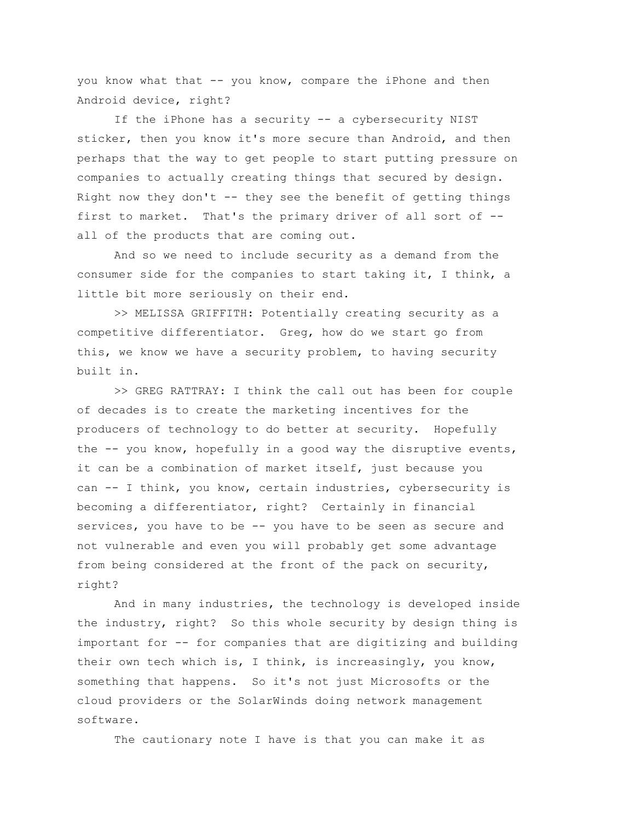you know what that -- you know, compare the iPhone and then Android device, right?

If the iPhone has a security -- a cybersecurity NIST sticker, then you know it's more secure than Android, and then perhaps that the way to get people to start putting pressure on companies to actually creating things that secured by design. Right now they don't  $-$ - they see the benefit of getting things first to market. That's the primary driver of all sort of - all of the products that are coming out.

And so we need to include security as a demand from the consumer side for the companies to start taking it, I think, a little bit more seriously on their end.

>> MELISSA GRIFFITH: Potentially creating security as a competitive differentiator. Greg, how do we start go from this, we know we have a security problem, to having security built in.

>> GREG RATTRAY: I think the call out has been for couple of decades is to create the marketing incentives for the producers of technology to do better at security. Hopefully the -- you know, hopefully in a good way the disruptive events, it can be a combination of market itself, just because you can -- I think, you know, certain industries, cybersecurity is becoming a differentiator, right? Certainly in financial services, you have to be -- you have to be seen as secure and not vulnerable and even you will probably get some advantage from being considered at the front of the pack on security, right?

And in many industries, the technology is developed inside the industry, right? So this whole security by design thing is important for -- for companies that are digitizing and building their own tech which is, I think, is increasingly, you know, something that happens. So it's not just Microsofts or the cloud providers or the SolarWinds doing network management software.

The cautionary note I have is that you can make it as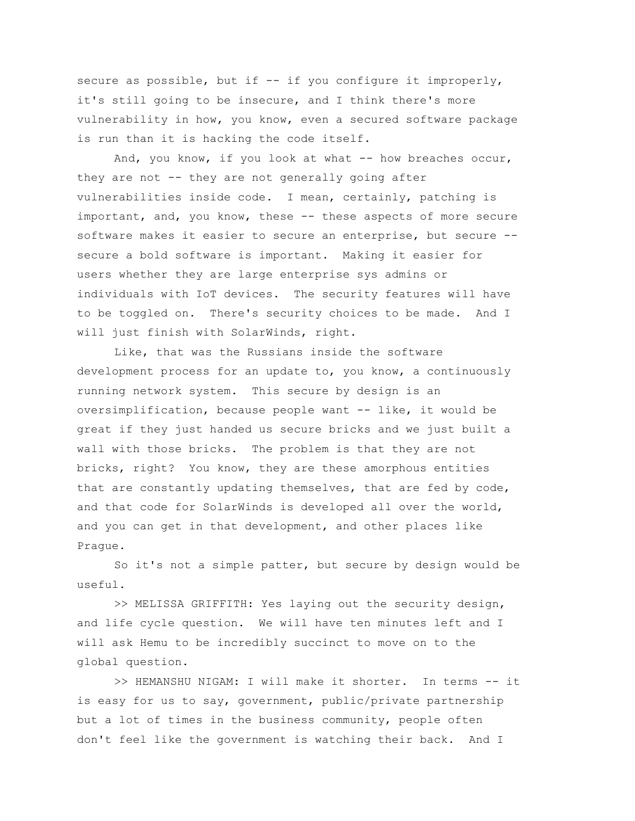secure as possible, but if -- if you configure it improperly, it's still going to be insecure, and I think there's more vulnerability in how, you know, even a secured software package is run than it is hacking the code itself.

And, you know, if you look at what  $--$  how breaches occur, they are not -- they are not generally going after vulnerabilities inside code. I mean, certainly, patching is important, and, you know, these -- these aspects of more secure software makes it easier to secure an enterprise, but secure - secure a bold software is important. Making it easier for users whether they are large enterprise sys admins or individuals with IoT devices. The security features will have to be toggled on. There's security choices to be made. And I will just finish with SolarWinds, right.

Like, that was the Russians inside the software development process for an update to, you know, a continuously running network system. This secure by design is an oversimplification, because people want -- like, it would be great if they just handed us secure bricks and we just built a wall with those bricks. The problem is that they are not bricks, right? You know, they are these amorphous entities that are constantly updating themselves, that are fed by code, and that code for SolarWinds is developed all over the world, and you can get in that development, and other places like Prague.

So it's not a simple patter, but secure by design would be useful.

>> MELISSA GRIFFITH: Yes laying out the security design, and life cycle question. We will have ten minutes left and I will ask Hemu to be incredibly succinct to move on to the global question.

>> HEMANSHU NIGAM: I will make it shorter. In terms -- it is easy for us to say, government, public/private partnership but a lot of times in the business community, people often don't feel like the government is watching their back. And I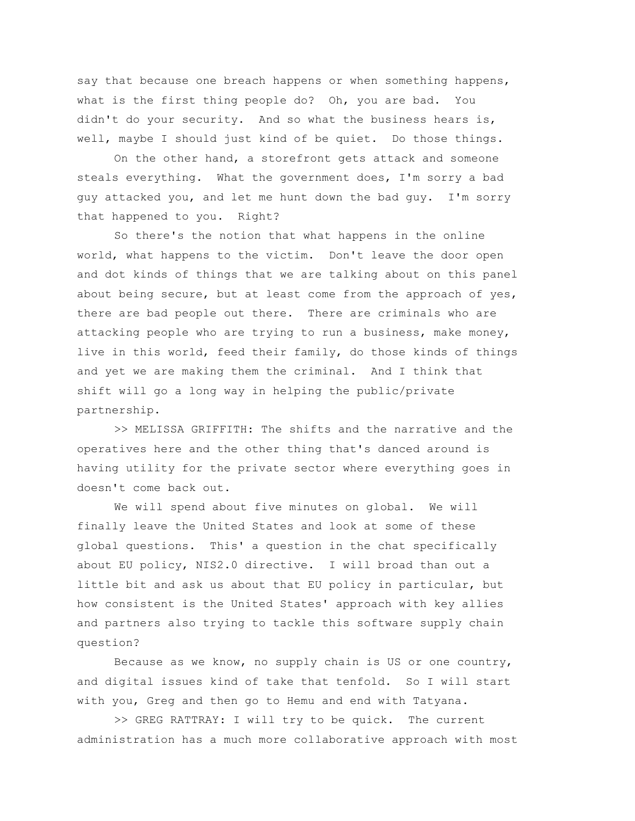say that because one breach happens or when something happens, what is the first thing people do? Oh, you are bad. You didn't do your security. And so what the business hears is, well, maybe I should just kind of be quiet. Do those things.

On the other hand, a storefront gets attack and someone steals everything. What the government does, I'm sorry a bad guy attacked you, and let me hunt down the bad guy. I'm sorry that happened to you. Right?

So there's the notion that what happens in the online world, what happens to the victim. Don't leave the door open and dot kinds of things that we are talking about on this panel about being secure, but at least come from the approach of yes, there are bad people out there. There are criminals who are attacking people who are trying to run a business, make money, live in this world, feed their family, do those kinds of things and yet we are making them the criminal. And I think that shift will go a long way in helping the public/private partnership.

>> MELISSA GRIFFITH: The shifts and the narrative and the operatives here and the other thing that's danced around is having utility for the private sector where everything goes in doesn't come back out.

We will spend about five minutes on global. We will finally leave the United States and look at some of these global questions. This' a question in the chat specifically about EU policy, NIS2.0 directive. I will broad than out a little bit and ask us about that EU policy in particular, but how consistent is the United States' approach with key allies and partners also trying to tackle this software supply chain question?

Because as we know, no supply chain is US or one country, and digital issues kind of take that tenfold. So I will start with you, Greg and then go to Hemu and end with Tatyana.

>> GREG RATTRAY: I will try to be quick. The current administration has a much more collaborative approach with most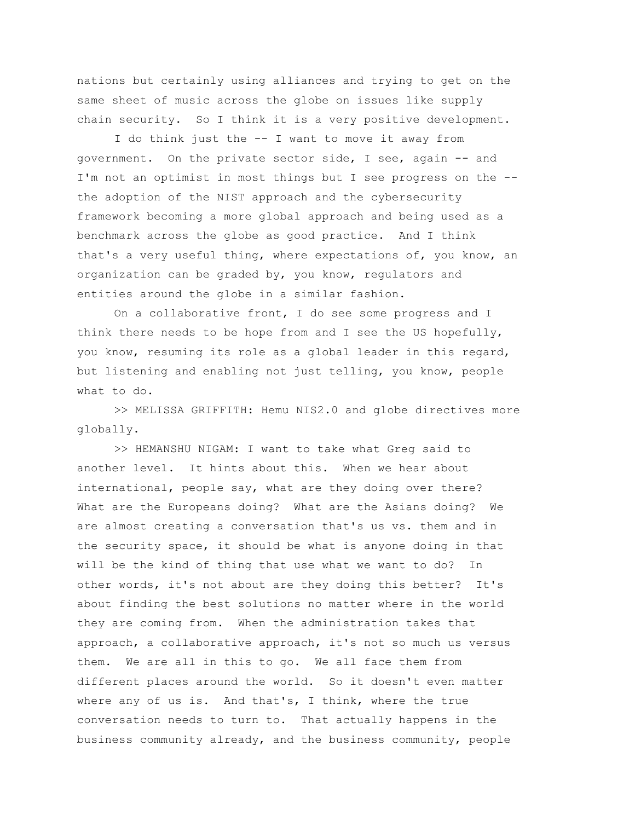nations but certainly using alliances and trying to get on the same sheet of music across the globe on issues like supply chain security. So I think it is a very positive development.

I do think just the -- I want to move it away from government. On the private sector side, I see, again -- and I'm not an optimist in most things but I see progress on the - the adoption of the NIST approach and the cybersecurity framework becoming a more global approach and being used as a benchmark across the globe as good practice. And I think that's a very useful thing, where expectations of, you know, an organization can be graded by, you know, regulators and entities around the globe in a similar fashion.

On a collaborative front, I do see some progress and I think there needs to be hope from and I see the US hopefully, you know, resuming its role as a global leader in this regard, but listening and enabling not just telling, you know, people what to do.

>> MELISSA GRIFFITH: Hemu NIS2.0 and globe directives more globally.

>> HEMANSHU NIGAM: I want to take what Greg said to another level. It hints about this. When we hear about international, people say, what are they doing over there? What are the Europeans doing? What are the Asians doing? We are almost creating a conversation that's us vs. them and in the security space, it should be what is anyone doing in that will be the kind of thing that use what we want to do? In other words, it's not about are they doing this better? It's about finding the best solutions no matter where in the world they are coming from. When the administration takes that approach, a collaborative approach, it's not so much us versus them. We are all in this to go. We all face them from different places around the world. So it doesn't even matter where any of us is. And that's, I think, where the true conversation needs to turn to. That actually happens in the business community already, and the business community, people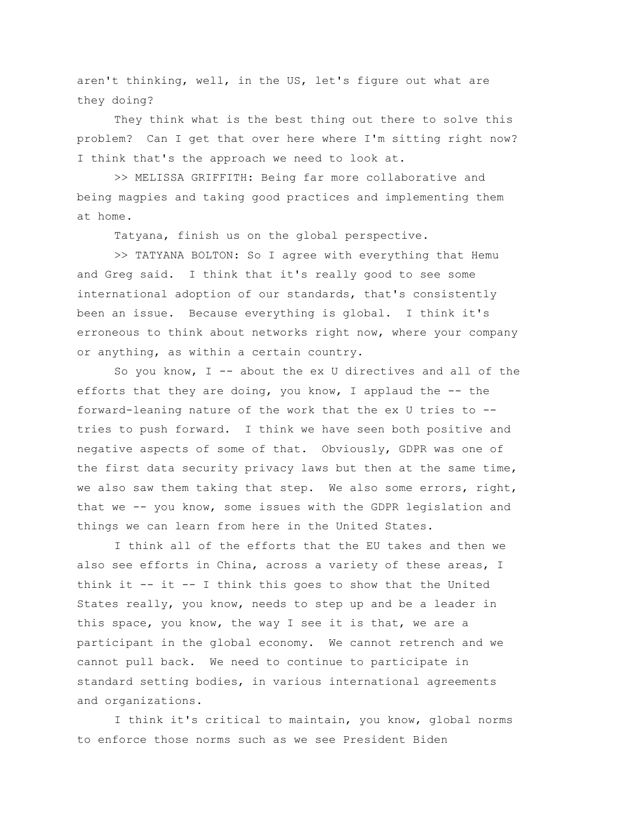aren't thinking, well, in the US, let's figure out what are they doing?

They think what is the best thing out there to solve this problem? Can I get that over here where I'm sitting right now? I think that's the approach we need to look at.

>> MELISSA GRIFFITH: Being far more collaborative and being magpies and taking good practices and implementing them at home.

Tatyana, finish us on the global perspective.

>> TATYANA BOLTON: So I agree with everything that Hemu and Greg said. I think that it's really good to see some international adoption of our standards, that's consistently been an issue. Because everything is global. I think it's erroneous to think about networks right now, where your company or anything, as within a certain country.

So you know,  $I$  -- about the ex U directives and all of the efforts that they are doing, you know, I applaud the  $-$ - the forward-leaning nature of the work that the ex U tries to - tries to push forward. I think we have seen both positive and negative aspects of some of that. Obviously, GDPR was one of the first data security privacy laws but then at the same time, we also saw them taking that step. We also some errors, right, that we -- you know, some issues with the GDPR legislation and things we can learn from here in the United States.

I think all of the efforts that the EU takes and then we also see efforts in China, across a variety of these areas, I think it  $--$  it  $--$  I think this goes to show that the United States really, you know, needs to step up and be a leader in this space, you know, the way I see it is that, we are a participant in the global economy. We cannot retrench and we cannot pull back. We need to continue to participate in standard setting bodies, in various international agreements and organizations.

I think it's critical to maintain, you know, global norms to enforce those norms such as we see President Biden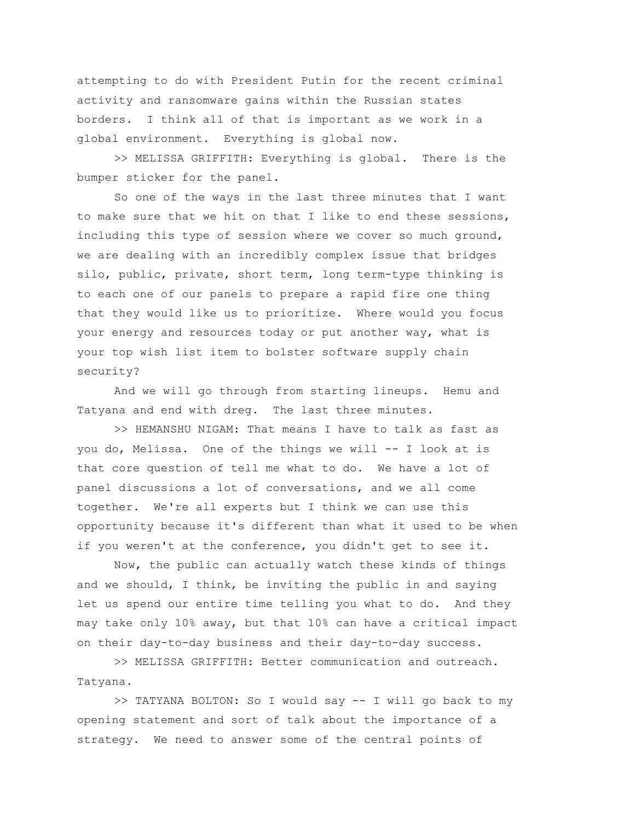attempting to do with President Putin for the recent criminal activity and ransomware gains within the Russian states borders. I think all of that is important as we work in a global environment. Everything is global now.

>> MELISSA GRIFFITH: Everything is global. There is the bumper sticker for the panel.

So one of the ways in the last three minutes that I want to make sure that we hit on that I like to end these sessions, including this type of session where we cover so much ground, we are dealing with an incredibly complex issue that bridges silo, public, private, short term, long term-type thinking is to each one of our panels to prepare a rapid fire one thing that they would like us to prioritize. Where would you focus your energy and resources today or put another way, what is your top wish list item to bolster software supply chain security?

And we will go through from starting lineups. Hemu and Tatyana and end with dreg. The last three minutes.

>> HEMANSHU NIGAM: That means I have to talk as fast as you do, Melissa. One of the things we will -- I look at is that core question of tell me what to do. We have a lot of panel discussions a lot of conversations, and we all come together. We're all experts but I think we can use this opportunity because it's different than what it used to be when if you weren't at the conference, you didn't get to see it.

Now, the public can actually watch these kinds of things and we should, I think, be inviting the public in and saying let us spend our entire time telling you what to do. And they may take only 10% away, but that 10% can have a critical impact on their day-to-day business and their day-to-day success.

>> MELISSA GRIFFITH: Better communication and outreach. Tatyana.

>> TATYANA BOLTON: So I would say -- I will go back to my opening statement and sort of talk about the importance of a strategy. We need to answer some of the central points of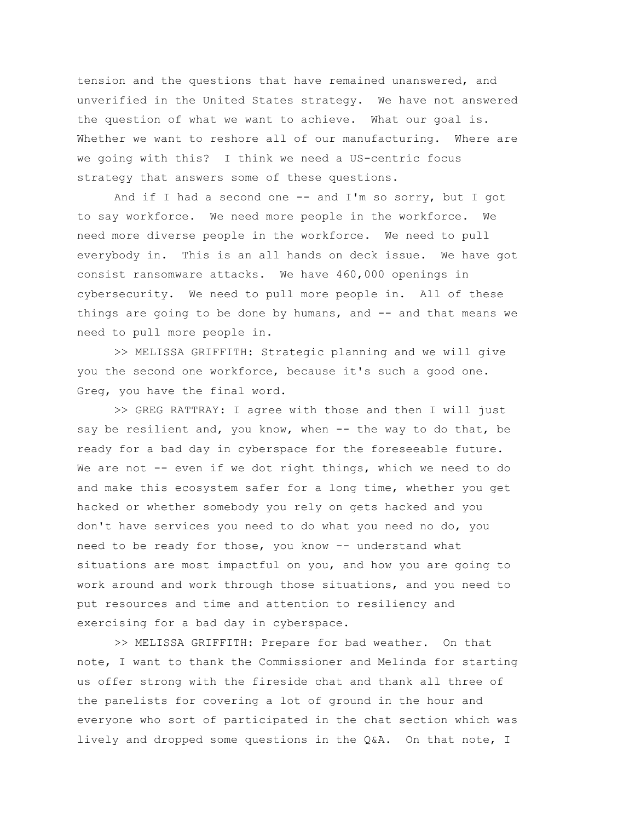tension and the questions that have remained unanswered, and unverified in the United States strategy. We have not answered the question of what we want to achieve. What our goal is. Whether we want to reshore all of our manufacturing. Where are we going with this? I think we need a US-centric focus strategy that answers some of these questions.

And if I had a second one -- and I'm so sorry, but I got to say workforce. We need more people in the workforce. We need more diverse people in the workforce. We need to pull everybody in. This is an all hands on deck issue. We have got consist ransomware attacks. We have 460,000 openings in cybersecurity. We need to pull more people in. All of these things are going to be done by humans, and  $-$  and that means we need to pull more people in.

>> MELISSA GRIFFITH: Strategic planning and we will give you the second one workforce, because it's such a good one. Greg, you have the final word.

>> GREG RATTRAY: I agree with those and then I will just say be resilient and, you know, when -- the way to do that, be ready for a bad day in cyberspace for the foreseeable future. We are not -- even if we dot right things, which we need to do and make this ecosystem safer for a long time, whether you get hacked or whether somebody you rely on gets hacked and you don't have services you need to do what you need no do, you need to be ready for those, you know -- understand what situations are most impactful on you, and how you are going to work around and work through those situations, and you need to put resources and time and attention to resiliency and exercising for a bad day in cyberspace.

>> MELISSA GRIFFITH: Prepare for bad weather. On that note, I want to thank the Commissioner and Melinda for starting us offer strong with the fireside chat and thank all three of the panelists for covering a lot of ground in the hour and everyone who sort of participated in the chat section which was lively and dropped some questions in the Q&A. On that note, I